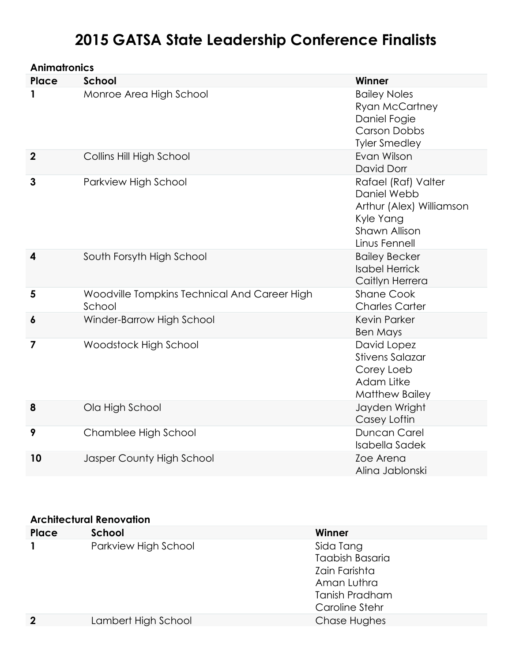# **2015 GATSA State Leadership Conference Finalists**

| <b>Animatronics</b>     |                                                        |                                                                                                                      |
|-------------------------|--------------------------------------------------------|----------------------------------------------------------------------------------------------------------------------|
| <b>Place</b>            | <b>School</b>                                          | Winner                                                                                                               |
| 1                       | Monroe Area High School                                | <b>Bailey Noles</b><br><b>Ryan McCartney</b><br>Daniel Fogie<br><b>Carson Dobbs</b><br><b>Tyler Smedley</b>          |
| $\overline{\mathbf{2}}$ | Collins Hill High School                               | Evan Wilson<br>David Dorr                                                                                            |
| 3                       | Parkview High School                                   | Rafael (Raf) Valter<br>Daniel Webb<br>Arthur (Alex) Williamson<br>Kyle Yang<br><b>Shawn Allison</b><br>Linus Fennell |
| 4                       | South Forsyth High School                              | <b>Bailey Becker</b><br><b>Isabel Herrick</b><br>Caitlyn Herrera                                                     |
| 5                       | Woodville Tompkins Technical And Career High<br>School | <b>Shane Cook</b><br><b>Charles Carter</b>                                                                           |
| 6                       | Winder-Barrow High School                              | <b>Kevin Parker</b><br><b>Ben Mays</b>                                                                               |
| 7                       | Woodstock High School                                  | David Lopez<br><b>Stivens Salazar</b><br>Corey Loeb<br>Adam Litke<br><b>Matthew Bailey</b>                           |
| 8                       | Ola High School                                        | Jayden Wright<br>Casey Loftin                                                                                        |
| 9                       | Chamblee High School                                   | Duncan Carel<br><b>Isabella Sadek</b>                                                                                |
| 10                      | Jasper County High School                              | Zoe Arena<br>Alina Jablonski                                                                                         |

#### **Architectural Renovation**

| Place          | School               | Winner                 |
|----------------|----------------------|------------------------|
|                | Parkview High School | Sida Tang              |
|                |                      | <b>Taabish Basaria</b> |
|                |                      | Zain Farishta          |
|                |                      | Aman Luthra            |
|                |                      | Tanish Pradham         |
|                |                      | Caroline Stehr         |
| $\overline{2}$ | Lambert High School  | Chase Hughes           |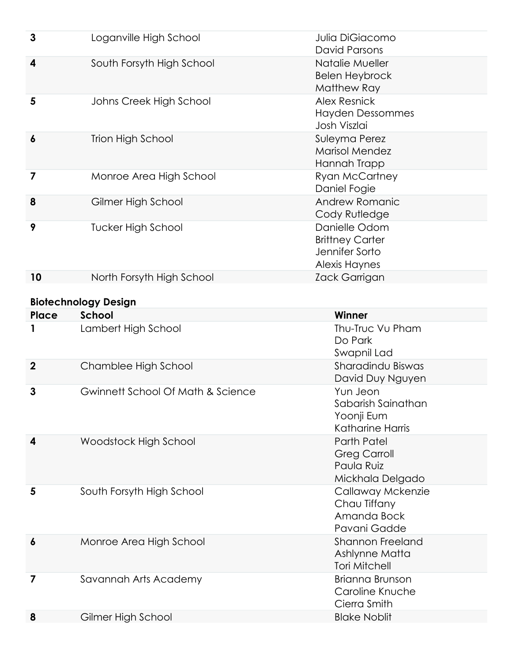| 3                | Loganville High School                      | Julia DiGiacomo<br><b>David Parsons</b>                                          |
|------------------|---------------------------------------------|----------------------------------------------------------------------------------|
| 4                | South Forsyth High School                   | Natalie Mueller<br><b>Belen Heybrock</b><br>Matthew Ray                          |
| 5                | Johns Creek High School                     | <b>Alex Resnick</b><br><b>Hayden Dessommes</b><br>Josh Viszlai                   |
| $\boldsymbol{6}$ | <b>Trion High School</b>                    | Suleyma Perez<br><b>Marisol Mendez</b><br>Hannah Trapp                           |
| 7                | Monroe Area High School                     | <b>Ryan McCartney</b><br>Daniel Fogie                                            |
| 8                | Gilmer High School                          | Andrew Romanic<br>Cody Rutledge                                                  |
| 9                | <b>Tucker High School</b>                   | Danielle Odom<br><b>Brittney Carter</b><br>Jennifer Sorto<br>Alexis Haynes       |
| 10               | North Forsyth High School                   | Zack Garrigan                                                                    |
|                  | <b>Biotechnology Design</b>                 |                                                                                  |
| Place            | <b>School</b>                               | Winner                                                                           |
|                  | Lambert High School                         | Thu-Truc Vu Pham                                                                 |
|                  |                                             | Do Park<br>Swapnil Lad                                                           |
| $\boldsymbol{2}$ | Chamblee High School                        | Sharadindu Biswas<br>David Duy Nguyen                                            |
| 3                | Gwinnett School Of Math & Science           | Yun Jeon<br>Sabarish Sainathan<br>Yoonji Eum<br><b>Katharine Harris</b>          |
| 4                | Woodstock High School                       | <b>Parth Patel</b><br><b>Greg Carroll</b><br>Paula Ruiz<br>Mickhala Delgado      |
| 5                | South Forsyth High School                   | Callaway Mckenzie<br>Chau Tiffany<br>Amanda Bock<br>Pavani Gadde                 |
| $\boldsymbol{6}$ | Monroe Area High School                     | <b>Shannon Freeland</b><br>Ashlynne Matta<br><b>Tori Mitchell</b>                |
| 7                | Savannah Arts Academy<br>Gilmer High School | <b>Brianna Brunson</b><br>Caroline Knuche<br>Cierra Smith<br><b>Blake Noblit</b> |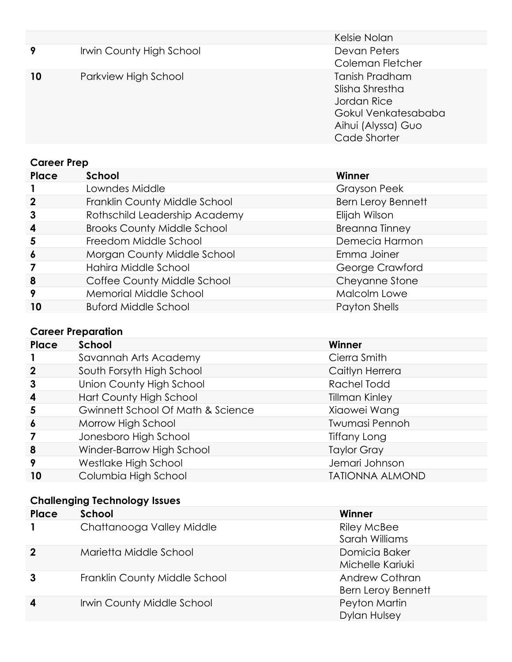|             |                          | Kelsie Nolan                                                                                                  |
|-------------|--------------------------|---------------------------------------------------------------------------------------------------------------|
| 9           | Irwin County High School | Devan Peters<br>Coleman Fletcher                                                                              |
| 10          | Parkview High School     | Tanish Pradham<br>Slisha Shrestha<br>Jordan Rice<br>Gokul Venkatesababa<br>Aihui (Alyssa) Guo<br>Cade Shorter |
| Career Prep |                          |                                                                                                               |

| <b>UUILLITTU</b> |                                    |                           |
|------------------|------------------------------------|---------------------------|
| Place            | School                             | Winner                    |
|                  | Lowndes Middle                     | <b>Grayson Peek</b>       |
| $\mathbf{2}$     | Franklin County Middle School      | <b>Bern Leroy Bennett</b> |
| 3                | Rothschild Leadership Academy      | Elijah Wilson             |
| $\boldsymbol{4}$ | <b>Brooks County Middle School</b> | <b>Breanna Tinney</b>     |
| 5                | Freedom Middle School              | Demecia Harmon            |
| $\boldsymbol{6}$ | Morgan County Middle School        | Emma Joiner               |
| 7                | Hahira Middle School               | George Crawford           |
| 8                | Coffee County Middle School        | Cheyanne Stone            |
| 9                | Memorial Middle School             | Malcolm Lowe              |
| 10               | <b>Buford Middle School</b>        | Payton Shells             |
|                  |                                    |                           |

# **Career Preparation**

| Place            | School                                       | Winner                 |
|------------------|----------------------------------------------|------------------------|
|                  | Savannah Arts Academy                        | Cierra Smith           |
| $\mathbf 2$      | South Forsyth High School                    | Caitlyn Herrera        |
| 3                | Union County High School                     | Rachel Todd            |
| $\boldsymbol{4}$ | Hart County High School                      | <b>Tillman Kinley</b>  |
| 5                | <b>Gwinnett School Of Math &amp; Science</b> | Xiaowei Wang           |
| $\boldsymbol{6}$ | Morrow High School                           | Twumasi Pennoh         |
|                  | Jonesboro High School                        | Tiffany Long           |
| 8                | Winder-Barrow High School                    | <b>Taylor Gray</b>     |
| 9                | Westlake High School                         | Jemari Johnson         |
| 10               | Columbia High School                         | <b>TATIONNA ALMOND</b> |

### **Challenging Technology Issues**

| Place       | School                        | Winner                                      |
|-------------|-------------------------------|---------------------------------------------|
|             | Chattanooga Valley Middle     | <b>Riley McBee</b><br>Sarah Williams        |
| $\mathbf 2$ | Marietta Middle School        | Domicia Baker<br>Michelle Kariuki           |
| 3           | Franklin County Middle School | Andrew Cothran<br><b>Bern Leroy Bennett</b> |
| 4           | Irwin County Middle School    | Peyton Martin<br><b>Dylan Hulsey</b>        |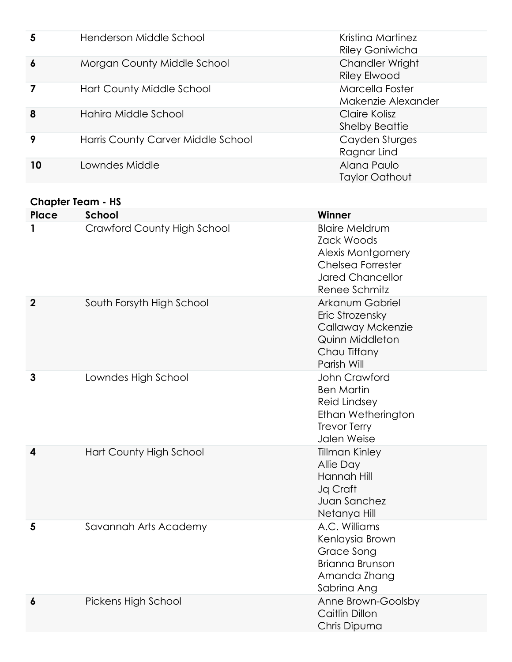| 5                | Henderson Middle School            | Kristina Martinez<br><b>Riley Goniwicha</b> |
|------------------|------------------------------------|---------------------------------------------|
| $\boldsymbol{6}$ | Morgan County Middle School        | Chandler Wright<br><b>Riley Elwood</b>      |
|                  | Hart County Middle School          | Marcella Foster<br>Makenzie Alexander       |
| 8                | Hahira Middle School               | Claire Kolisz<br><b>Shelby Beattie</b>      |
| 9                | Harris County Carver Middle School | Cayden Sturges<br>Ragnar Lind               |
| 10               | Lowndes Middle                     | Alana Paulo<br><b>Taylor Oathout</b>        |

#### **Chapter Team - HS**

| Place            | School                             | Winner                                                                                                                                  |
|------------------|------------------------------------|-----------------------------------------------------------------------------------------------------------------------------------------|
| 1                | <b>Crawford County High School</b> | <b>Blaire Meldrum</b><br><b>Zack Woods</b><br><b>Alexis Montgomery</b><br>Chelsea Forrester<br><b>Jared Chancellor</b><br>Renee Schmitz |
| $\boldsymbol{2}$ | South Forsyth High School          | Arkanum Gabriel<br>Eric Strozensky<br>Callaway Mckenzie<br><b>Quinn Middleton</b><br>Chau Tiffany<br>Parish Will                        |
| 3                | Lowndes High School                | John Crawford<br><b>Ben Martin</b><br><b>Reid Lindsey</b><br>Ethan Wetherington<br><b>Trevor Terry</b><br>Jalen Weise                   |
| 4                | Hart County High School            | <b>Tillman Kinley</b><br>Allie Day<br>Hannah Hill<br>Jq Craft<br>Juan Sanchez<br>Netanya Hill                                           |
| 5                | Savannah Arts Academy              | A.C. Williams<br>Kenlaysia Brown<br><b>Grace Song</b><br><b>Brianna Brunson</b><br>Amanda Zhang<br>Sabrina Ang                          |
| 6                | Pickens High School                | Anne Brown-Goolsby<br>Caitlin Dillon<br>Chris Dipuma                                                                                    |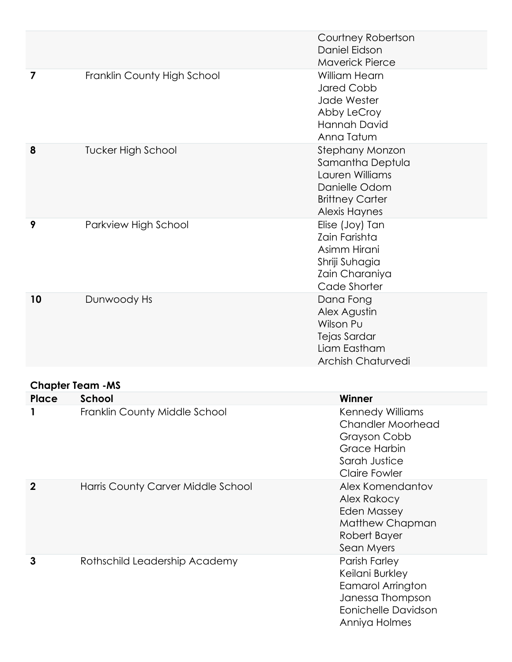|                                  |                                    | Courtney Robertson<br>Daniel Eidson<br><b>Maverick Pierce</b>                                                                |
|----------------------------------|------------------------------------|------------------------------------------------------------------------------------------------------------------------------|
| 7                                | Franklin County High School        | William Hearn<br><b>Jared Cobb</b><br>Jade Wester<br>Abby LeCroy<br>Hannah David<br>Anna Tatum                               |
| 8                                | <b>Tucker High School</b>          | Stephany Monzon<br>Samantha Deptula<br>Lauren Williams<br>Danielle Odom<br><b>Brittney Carter</b><br><b>Alexis Haynes</b>    |
| 9                                | Parkview High School               | Elise (Joy) Tan<br>Zain Farishta<br>Asimm Hirani<br>Shriji Suhagia<br>Zain Charaniya<br>Cade Shorter                         |
| 10                               | Dunwoody Hs                        | Dana Fong<br>Alex Agustin<br>Wilson Pu<br>Tejas Sardar<br>Liam Eastham<br><b>Archish Chaturvedi</b>                          |
|                                  |                                    |                                                                                                                              |
| <b>Chapter Team -MS</b><br>Place | <b>School</b>                      | Winner                                                                                                                       |
|                                  | Franklin County Middle School      | <b>Kennedy Williams</b><br><b>Chandler Moorhead</b><br>Grayson Cobb<br>Grace Harbin<br>Sarah Justice<br><b>Claire Fowler</b> |
| $\mathbf 2$                      | Harris County Carver Middle School | Alex Komendantov<br>Alex Rakocy<br><b>Eden Massey</b><br>Matthew Chapman<br>Robert Bayer<br>Sean Myers                       |
| 3                                | Rothschild Leadership Academy      | Parish Farley<br>Keilani Burkley<br>Eamarol Arrington<br>Janessa Thompson<br><b>Eonichelle Davidson</b><br>Anniya Holmes     |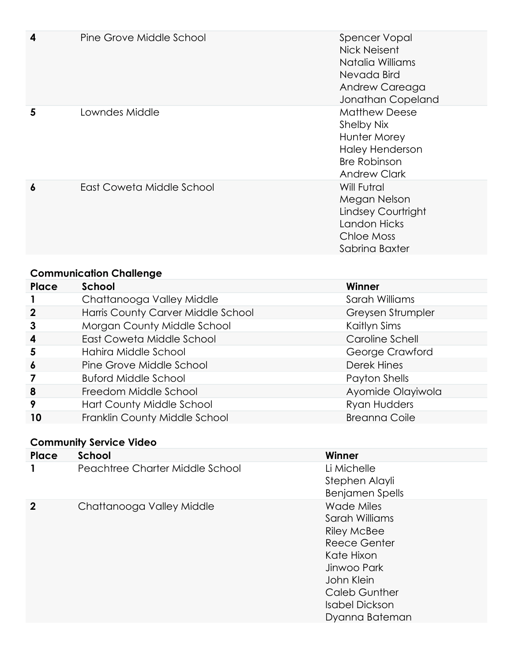| 4 | Pine Grove Middle School  | <b>Spencer Vopal</b><br>Nick Neisent<br>Natalia Williams<br>Nevada Bird<br>Andrew Careaga<br>Jonathan Copeland             |
|---|---------------------------|----------------------------------------------------------------------------------------------------------------------------|
| 5 | Lowndes Middle            | <b>Matthew Deese</b><br>Shelby Nix<br>Hunter Morey<br><b>Haley Henderson</b><br><b>Bre Robinson</b><br><b>Andrew Clark</b> |
| 6 | East Coweta Middle School | Will Futral<br>Megan Nelson<br>Lindsey Courtright<br><b>Landon Hicks</b><br>Chloe Moss<br>Sabrina Baxter                   |

# **Communication Challenge**

| Place            | School                             | Winner               |
|------------------|------------------------------------|----------------------|
|                  | Chattanooga Valley Middle          | Sarah Williams       |
| $\mathbf 2$      | Harris County Carver Middle School | Greysen Strumpler    |
| 3                | Morgan County Middle School        | Kaitlyn Sims         |
| $\boldsymbol{4}$ | East Coweta Middle School          | Caroline Schell      |
| 5                | Hahira Middle School               | George Crawford      |
| $\boldsymbol{6}$ | Pine Grove Middle School           | Derek Hines          |
|                  | <b>Buford Middle School</b>        | Payton Shells        |
| 8                | Freedom Middle School              | Ayomide Olayiwola    |
| 9                | Hart County Middle School          | Ryan Hudders         |
| 10               | Franklin County Middle School      | <b>Breanna Coile</b> |

# **Community Service Video**

| Place       | <b>School</b>                   | Winner                                                                                                                                                                           |
|-------------|---------------------------------|----------------------------------------------------------------------------------------------------------------------------------------------------------------------------------|
|             | Peachtree Charter Middle School | Li Michelle<br>Stephen Alayli<br><b>Benjamen Spells</b>                                                                                                                          |
| $\mathbf 2$ | Chattanooga Valley Middle       | <b>Wade Miles</b><br>Sarah Williams<br><b>Riley McBee</b><br>Reece Genter<br>Kate Hixon<br>Jinwoo Park<br>John Klein<br><b>Caleb Gunther</b><br>Isabel Dickson<br>Dyanna Bateman |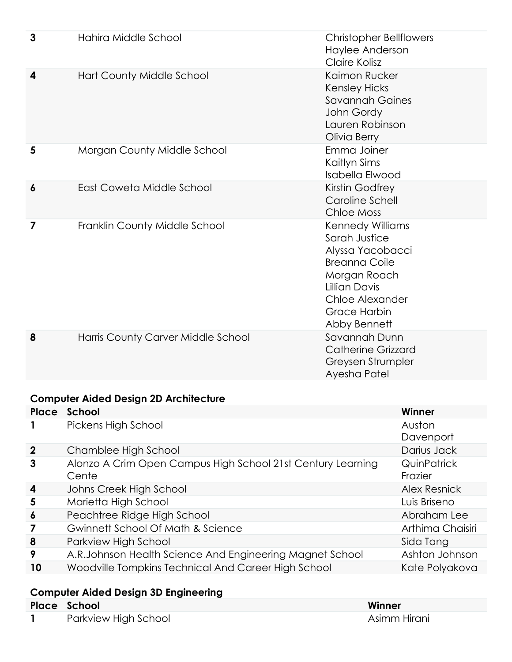| 3                       | Hahira Middle School               | <b>Christopher Bellflowers</b><br>Haylee Anderson<br>Claire Kolisz                                                                                                              |
|-------------------------|------------------------------------|---------------------------------------------------------------------------------------------------------------------------------------------------------------------------------|
| 4                       | Hart County Middle School          | Kaimon Rucker<br><b>Kensley Hicks</b><br><b>Savannah Gaines</b><br>John Gordy<br>Lauren Robinson<br>Olivia Berry                                                                |
| 5                       | Morgan County Middle School        | Emma Joiner<br>Kaitlyn Sims<br><b>Isabella Elwood</b>                                                                                                                           |
| $\boldsymbol{6}$        | East Coweta Middle School          | Kirstin Godfrey<br><b>Caroline Schell</b><br>Chloe Moss                                                                                                                         |
| $\overline{\mathbf{z}}$ | Franklin County Middle School      | Kennedy Williams<br>Sarah Justice<br>Alyssa Yacobacci<br><b>Breanna Coile</b><br>Morgan Roach<br><b>Lillian Davis</b><br>Chloe Alexander<br><b>Grace Harbin</b><br>Abby Bennett |
| 8                       | Harris County Carver Middle School | Savannah Dunn<br><b>Catherine Grizzard</b><br>Greysen Strumpler<br>Ayesha Patel                                                                                                 |

#### **Computer Aided Design 2D Architecture**

|                | Place School                                                         | Winner                        |
|----------------|----------------------------------------------------------------------|-------------------------------|
|                | Pickens High School                                                  | Auston<br>Davenport           |
| $\overline{2}$ | Chamblee High School                                                 | Darius Jack                   |
| 3              | Alonzo A Crim Open Campus High School 21st Century Learning<br>Cente | <b>QuinPatrick</b><br>Frazier |
| 4              | Johns Creek High School                                              | <b>Alex Resnick</b>           |
| 5              | Marietta High School                                                 | Luis Briseno                  |
| 6              | Peachtree Ridge High School                                          | Abraham Lee                   |
|                | Gwinnett School Of Math & Science                                    | Arthima Chaisiri              |
| 8              | Parkview High School                                                 | Sida Tang                     |
| 9              | A.R.Johnson Health Science And Engineering Magnet School             | Ashton Johnson                |
| 10             | Woodville Tompkins Technical And Career High School                  | Kate Polyakova                |

#### **Computer Aided Design 3D Engineering**

| <b>Place School</b>  |  | Winner       |
|----------------------|--|--------------|
| Parkview High School |  | Asimm Hirani |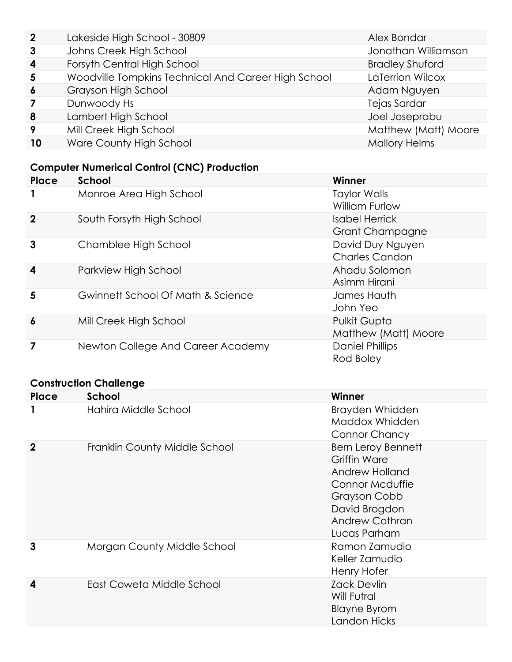| $\mathbf{2}$     | Lakeside High School - 30809                        | Alex Bondar            |
|------------------|-----------------------------------------------------|------------------------|
| 3                | Johns Creek High School                             | Jonathan Williamson    |
| $\boldsymbol{4}$ | Forsyth Central High School                         | <b>Bradley Shuford</b> |
| 5                | Woodville Tompkins Technical And Career High School | LaTerrion Wilcox       |
| $\boldsymbol{6}$ | Grayson High School                                 | Adam Nguyen            |
| 7                | Dunwoody Hs                                         | Tejas Sardar           |
| 8                | Lambert High School                                 | Joel Joseprabu         |
| 9                | Mill Creek High School                              | Matthew (Matt) Moore   |
| 10               | Ware County High School                             | <b>Mallory Helms</b>   |

# **Computer Numerical Control (CNC) Production**

| Place       | <b>School</b>                     | Winner                                          |
|-------------|-----------------------------------|-------------------------------------------------|
|             | Monroe Area High School           | <b>Taylor Walls</b><br><b>William Furlow</b>    |
| $\mathbf 2$ | South Forsyth High School         | <b>Isabel Herrick</b><br><b>Grant Champagne</b> |
| 3           | Chamblee High School              | David Duy Nguyen<br><b>Charles Candon</b>       |
| 4           | Parkview High School              | Ahadu Solomon<br>Asimm Hirani                   |
| 5           | Gwinnett School Of Math & Science | James Hauth<br>John Yeo                         |
| 6           | Mill Creek High School            | Pulkit Gupta<br>Matthew (Matt) Moore            |
|             | Newton College And Career Academy | <b>Daniel Phillips</b><br>Rod Boley             |

# **Construction Challenge**

| Place       | School                        | Winner                                                                                                                                                          |
|-------------|-------------------------------|-----------------------------------------------------------------------------------------------------------------------------------------------------------------|
|             | Hahira Middle School          | Brayden Whidden<br>Maddox Whidden<br>Connor Chancy                                                                                                              |
| $\mathbf 2$ | Franklin County Middle School | <b>Bern Leroy Bennett</b><br><b>Griffin Ware</b><br>Andrew Holland<br>Connor Mcduffie<br>Grayson Cobb<br>David Brogdon<br><b>Andrew Cothran</b><br>Lucas Parham |
| 3           | Morgan County Middle School   | Ramon Zamudio<br>Keller Zamudio<br>Henry Hofer                                                                                                                  |
| 4           | East Coweta Middle School     | <b>Zack Devlin</b><br>Will Futral<br><b>Blayne Byrom</b><br>Landon Hicks                                                                                        |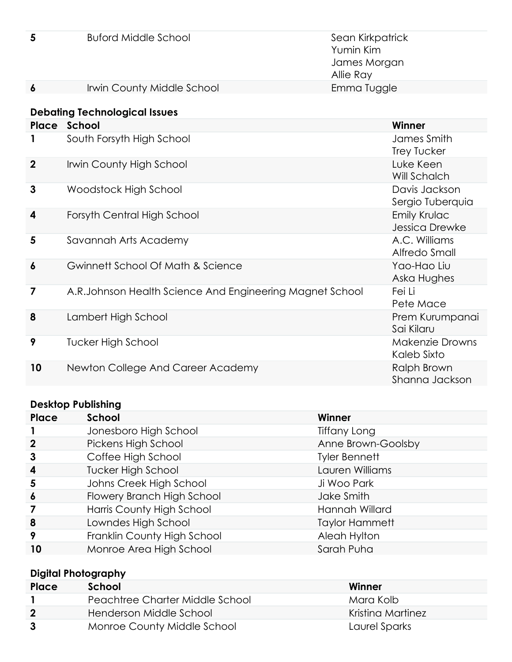| 5 | <b>Buford Middle School</b> | Sean Kirkpatrick<br>Yumin Kim<br>James Morgan<br>Allie Ray |
|---|-----------------------------|------------------------------------------------------------|
| 6 | Irwin County Middle School  | Emma Tuggle                                                |

# **Debating Technological Issues**

| Place            | School                                                   | Winner                            |
|------------------|----------------------------------------------------------|-----------------------------------|
| 1                | South Forsyth High School                                | James Smith<br><b>Trey Tucker</b> |
| $\overline{2}$   | <b>Irwin County High School</b>                          | Luke Keen<br>Will Schalch         |
| 3                | Woodstock High School                                    | Davis Jackson<br>Sergio Tuberquia |
| $\boldsymbol{4}$ | Forsyth Central High School                              | Emily Krulac<br>Jessica Drewke    |
| 5                | Savannah Arts Academy                                    | A.C. Williams<br>Alfredo Small    |
| 6                | Gwinnett School Of Math & Science                        | Yao-Hao Liu<br>Aska Hughes        |
| 7                | A.R.Johnson Health Science And Engineering Magnet School | Fei Li<br>Pete Mace               |
| 8                | Lambert High School                                      | Prem Kurumpanai<br>Sai Kilaru     |
| 9                | Tucker High School                                       | Makenzie Drowns<br>Kaleb Sixto    |
| 10               | Newton College And Career Academy                        | Ralph Brown<br>Shanna Jackson     |

#### **Desktop Publishing**

| Place            | School                      | Winner                |
|------------------|-----------------------------|-----------------------|
|                  | Jonesboro High School       | Tiffany Long          |
| $\mathbf 2$      | Pickens High School         | Anne Brown-Goolsby    |
| $\mathbf{3}$     | Coffee High School          | <b>Tyler Bennett</b>  |
| $\boldsymbol{4}$ | <b>Tucker High School</b>   | Lauren Williams       |
| 5                | Johns Creek High School     | Ji Woo Park           |
| $\boldsymbol{6}$ | Flowery Branch High School  | Jake Smith            |
|                  | Harris County High School   | Hannah Willard        |
| 8                | Lowndes High School         | <b>Taylor Hammett</b> |
| 9                | Franklin County High School | Aleah Hylton          |
| 10               | Monroe Area High School     | Sarah Puha            |

#### **Digital Photography**

| Place | School                          | Winner            |
|-------|---------------------------------|-------------------|
|       | Peachtree Charter Middle School | Mara Kolb         |
|       | Henderson Middle School         | Kristina Martinez |
|       | Monroe County Middle School     | Laurel Sparks     |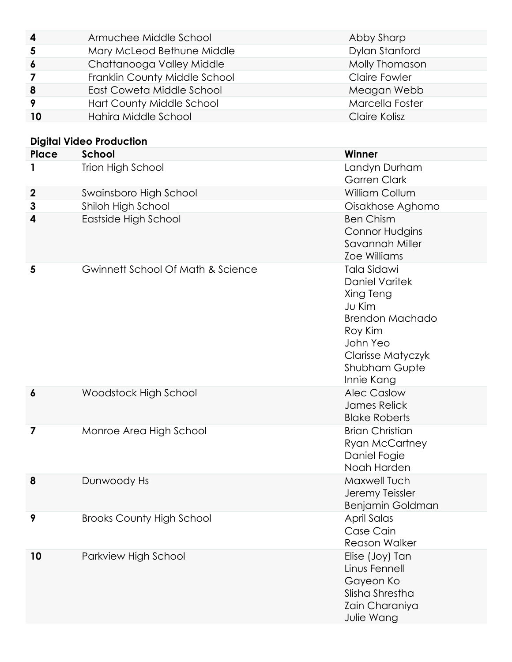| 4                | Armuchee Middle School            | Abby Sharp                                                                                                                                                                     |
|------------------|-----------------------------------|--------------------------------------------------------------------------------------------------------------------------------------------------------------------------------|
| 5                | Mary McLeod Bethune Middle        | Dylan Stanford                                                                                                                                                                 |
| 6                | Chattanooga Valley Middle         | Molly Thomason                                                                                                                                                                 |
| 7                | Franklin County Middle School     | <b>Claire Fowler</b>                                                                                                                                                           |
| 8                | East Coweta Middle School         | Meagan Webb                                                                                                                                                                    |
| 9                | Hart County Middle School         | Marcella Foster                                                                                                                                                                |
| 10               | Hahira Middle School              | Claire Kolisz                                                                                                                                                                  |
|                  | <b>Digital Video Production</b>   |                                                                                                                                                                                |
| Place            | School                            | <b>Winner</b>                                                                                                                                                                  |
|                  | Trion High School                 | Landyn Durham<br><b>Garren Clark</b>                                                                                                                                           |
| $\boldsymbol{2}$ | Swainsboro High School            | William Collum                                                                                                                                                                 |
| 3                | Shiloh High School                | Oisakhose Aghomo                                                                                                                                                               |
| 4                | Eastside High School              | <b>Ben Chism</b><br><b>Connor Hudgins</b><br>Savannah Miller<br><b>Zoe Williams</b>                                                                                            |
| 5                | Gwinnett School Of Math & Science | <b>Tala Sidawi</b><br><b>Daniel Varitek</b><br>Xing Teng<br>Ju Kim<br><b>Brendon Machado</b><br>Roy Kim<br>John Yeo<br>Clarisse Matyczyk<br><b>Shubham Gupte</b><br>Innie Kang |
| 6                | Woodstock High School             | <b>Alec Caslow</b><br>James Relick<br><b>Blake Roberts</b>                                                                                                                     |
| 7                | Monroe Area High School           | <b>Brian Christian</b><br><b>Ryan McCartney</b><br>Daniel Fogie<br>Noah Harden                                                                                                 |
| 8                | Dunwoody Hs                       | Maxwell Tuch<br>Jeremy Teissler<br>Benjamin Goldman                                                                                                                            |
| 9                | <b>Brooks County High School</b>  | April Salas<br>Case Cain<br><b>Reason Walker</b>                                                                                                                               |
| 10               | Parkview High School              | Elise (Joy) Tan<br>Linus Fennell<br>Gayeon Ko<br>Slisha Shrestha<br>Zain Charaniya<br>Julie Wang                                                                               |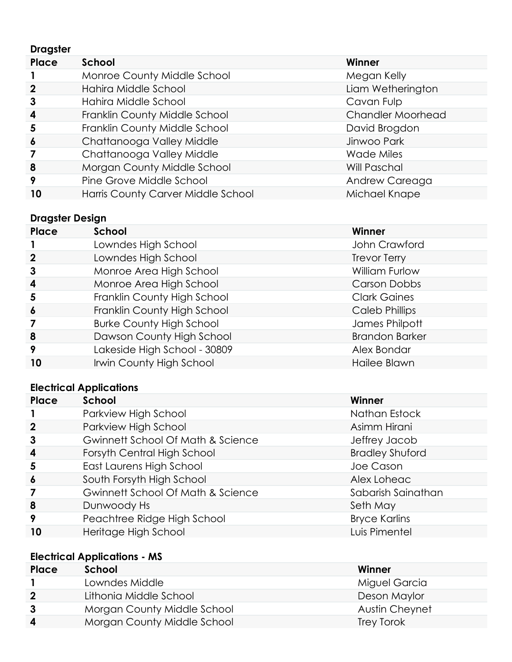| <b>Dragster</b>  |                                    |                   |
|------------------|------------------------------------|-------------------|
| Place            | School                             | Winner            |
|                  | Monroe County Middle School        | Megan Kelly       |
| $\mathbf{2}$     | Hahira Middle School               | Liam Wetherington |
| $\mathbf{3}$     | Hahira Middle School               | Cavan Fulp        |
| 4                | Franklin County Middle School      | Chandler Moorhead |
| 5                | Franklin County Middle School      | David Brogdon     |
| $\boldsymbol{6}$ | Chattanooga Valley Middle          | Jinwoo Park       |
| 7                | Chattanooga Valley Middle          | <b>Wade Miles</b> |
| 8                | Morgan County Middle School        | Will Paschal      |
| 9                | Pine Grove Middle School           | Andrew Careaga    |
| 10               | Harris County Carver Middle School | Michael Knape     |

# **Dragster Design**

| Place            | School                          | Winner                |
|------------------|---------------------------------|-----------------------|
|                  | Lowndes High School             | John Crawford         |
| $\mathbf 2$      | Lowndes High School             | <b>Trevor Terry</b>   |
| $\mathbf{3}$     | Monroe Area High School         | William Furlow        |
| $\boldsymbol{4}$ | Monroe Area High School         | <b>Carson Dobbs</b>   |
| $\overline{5}$   | Franklin County High School     | <b>Clark Gaines</b>   |
| $\boldsymbol{6}$ | Franklin County High School     | <b>Caleb Phillips</b> |
|                  | <b>Burke County High School</b> | James Philpott        |
| 8                | Dawson County High School       | <b>Brandon Barker</b> |
| 9                | Lakeside High School - 30809    | Alex Bondar           |
| 10               | Irwin County High School        | Hailee Blawn          |

#### **Electrical Applications**

| Place            | School                            | Winner                 |
|------------------|-----------------------------------|------------------------|
|                  | Parkview High School              | Nathan Estock          |
| $\boldsymbol{2}$ | Parkview High School              | Asimm Hirani           |
| 3                | Gwinnett School Of Math & Science | Jeffrey Jacob          |
| 4                | Forsyth Central High School       | <b>Bradley Shuford</b> |
| 5                | East Laurens High School          | Joe Cason              |
| $\boldsymbol{6}$ | South Forsyth High School         | Alex Loheac            |
|                  | Gwinnett School Of Math & Science | Sabarish Sainathan     |
| 8                | Dunwoody Hs                       | Seth May               |
| 9                | Peachtree Ridge High School       | <b>Bryce Karlins</b>   |
| 10               | Heritage High School              | Luis Pimentel          |

# **Electrical Applications - MS**

| Place          | School                      | Winner         |
|----------------|-----------------------------|----------------|
|                | Lowndes Middle              | Miguel Garcia  |
| $\overline{2}$ | Lithonia Middle School      | Deson Maylor   |
| -3             | Morgan County Middle School | Austin Cheynet |
| 4              | Morgan County Middle School | Trey Torok     |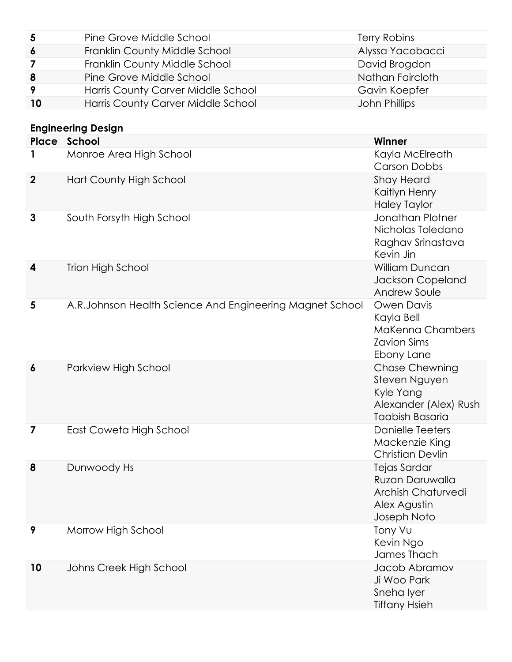| 5  | Pine Grove Middle School           | <b>Terry Robins</b> |
|----|------------------------------------|---------------------|
| 6  | Franklin County Middle School      | Alyssa Yacobacci    |
|    | Franklin County Middle School      | David Brogdon       |
| 8  | Pine Grove Middle School           | Nathan Faircloth    |
| -9 | Harris County Carver Middle School | Gavin Koepfer       |
| 10 | Harris County Carver Middle School | John Phillips       |

# **Engineering Design**

| Place       | School                                                   | Winner                                                                                                 |
|-------------|----------------------------------------------------------|--------------------------------------------------------------------------------------------------------|
|             | Monroe Area High School                                  | Kayla McElreath<br><b>Carson Dobbs</b>                                                                 |
| $\mathbf 2$ | Hart County High School                                  | <b>Shay Heard</b><br>Kaitlyn Henry<br><b>Haley Taylor</b>                                              |
| 3           | South Forsyth High School                                | Jonathan Plotner<br>Nicholas Toledano<br>Raghav Srinastava<br>Kevin Jin                                |
| 4           | <b>Trion High School</b>                                 | William Duncan<br>Jackson Copeland<br>Andrew Soule                                                     |
| 5           | A.R.Johnson Health Science And Engineering Magnet School | <b>Owen Davis</b><br>Kayla Bell<br><b>MaKenna Chambers</b><br><b>Zavion Sims</b><br>Ebony Lane         |
| 6           | Parkview High School                                     | <b>Chase Chewning</b><br>Steven Nguyen<br>Kyle Yang<br>Alexander (Alex) Rush<br><b>Taabish Basaria</b> |
| 7           | East Coweta High School                                  | <b>Danielle Teeters</b><br>Mackenzie King<br><b>Christian Devlin</b>                                   |
| 8           | Dunwoody Hs                                              | Tejas Sardar<br>Ruzan Daruwalla<br><b>Archish Chaturvedi</b><br>Alex Agustin<br>Joseph Noto            |
| 9           | Morrow High School                                       | Tony Vu<br>Kevin Ngo<br>James Thach                                                                    |
| 10          | Johns Creek High School                                  | Jacob Abramov<br>Ji Woo Park<br>Sneha Iyer<br><b>Tiffany Hsieh</b>                                     |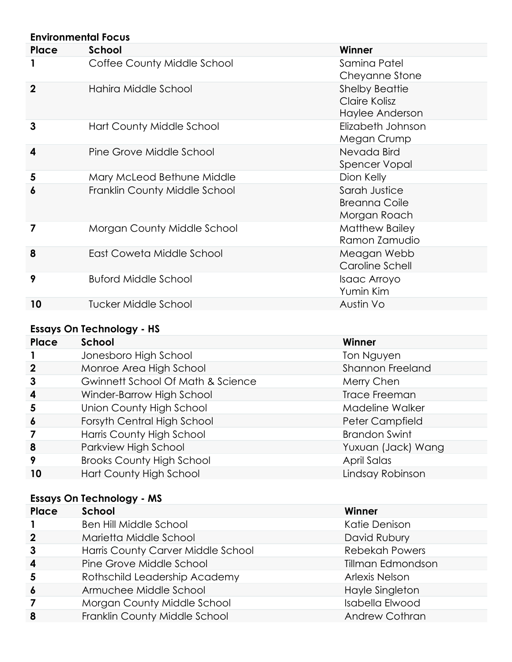| <b>Environmental Focus</b> |                               |                                                           |  |
|----------------------------|-------------------------------|-----------------------------------------------------------|--|
| Place                      | School                        | Winner                                                    |  |
| 1                          | Coffee County Middle School   | Samina Patel<br>Cheyanne Stone                            |  |
| $\mathbf{2}$               | Hahira Middle School          | <b>Shelby Beattie</b><br>Claire Kolisz<br>Haylee Anderson |  |
| 3                          | Hart County Middle School     | Elizabeth Johnson<br>Megan Crump                          |  |
| 4                          | Pine Grove Middle School      | Nevada Bird<br>Spencer Vopal                              |  |
| 5                          | Mary McLeod Bethune Middle    | Dion Kelly                                                |  |
| $\boldsymbol{6}$           | Franklin County Middle School | Sarah Justice<br><b>Breanna Coile</b><br>Morgan Roach     |  |
| 7                          | Morgan County Middle School   | <b>Matthew Bailey</b><br>Ramon Zamudio                    |  |
| 8                          | East Coweta Middle School     | Meagan Webb<br>Caroline Schell                            |  |
| 9                          | <b>Buford Middle School</b>   | Isaac Arroyo<br>Yumin Kim                                 |  |
| 10                         | <b>Tucker Middle School</b>   | Austin Vo                                                 |  |

# **Essays On Technology - HS**

| Place            | School                            | Winner                  |
|------------------|-----------------------------------|-------------------------|
|                  | Jonesboro High School             | Ton Nguyen              |
| $\mathbf 2$      | Monroe Area High School           | <b>Shannon Freeland</b> |
| 3                | Gwinnett School Of Math & Science | Merry Chen              |
| $\boldsymbol{4}$ | Winder-Barrow High School         | <b>Trace Freeman</b>    |
| 5                | Union County High School          | Madeline Walker         |
| $\boldsymbol{6}$ | Forsyth Central High School       | Peter Campfield         |
|                  | Harris County High School         | <b>Brandon Swint</b>    |
| 8                | Parkview High School              | Yuxuan (Jack) Wang      |
| 9                | <b>Brooks County High School</b>  | April Salas             |
| 10               | Hart County High School           | Lindsay Robinson        |

# **Essays On Technology - MS**

| Place                   | School                             | Winner                |
|-------------------------|------------------------------------|-----------------------|
|                         | <b>Ben Hill Middle School</b>      | Katie Denison         |
| $\mathbf{2}$            | Marietta Middle School             | David Rubury          |
| 3                       | Harris County Carver Middle School | <b>Rebekah Powers</b> |
| $\overline{\mathbf{4}}$ | Pine Grove Middle School           | Tillman Edmondson     |
| 5                       | Rothschild Leadership Academy      | <b>Arlexis Nelson</b> |
| $\boldsymbol{6}$        | Armuchee Middle School             | Hayle Singleton       |
|                         | Morgan County Middle School        | Isabella Elwood       |
| 8                       | Franklin County Middle School      | <b>Andrew Cothran</b> |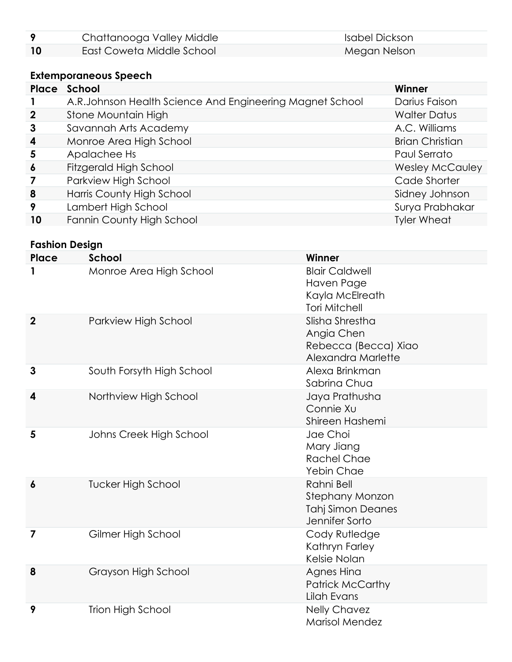| Chattanooga Valley Middle | Isabel Dickson |
|---------------------------|----------------|
| East Coweta Middle School | Megan Nelson   |

#### **Extemporaneous Speech**

|                  | <b>Place School</b>                                      | Winner                 |
|------------------|----------------------------------------------------------|------------------------|
|                  | A.R.Johnson Health Science And Engineering Magnet School | Darius Faison          |
| $\mathbf 2$      | Stone Mountain High                                      | <b>Walter Datus</b>    |
| $\mathbf{3}$     | Savannah Arts Academy                                    | A.C. Williams          |
| 4                | Monroe Area High School                                  | <b>Brian Christian</b> |
| 5                | Apalachee Hs                                             | Paul Serrato           |
| $\boldsymbol{6}$ | Fitzgerald High School                                   | <b>Wesley McCauley</b> |
| 7                | Parkview High School                                     | Cade Shorter           |
| 8                | Harris County High School                                | Sidney Johnson         |
| 9                | Lambert High School                                      | Surya Prabhakar        |
| 10               | Fannin County High School                                | <b>Tyler Wheat</b>     |

#### **Fashion Design**

| Place            | School                    | Winner                                                                             |
|------------------|---------------------------|------------------------------------------------------------------------------------|
| 1                | Monroe Area High School   | <b>Blair Caldwell</b><br>Haven Page<br>Kayla McElreath<br><b>Tori Mitchell</b>     |
| $\overline{2}$   | Parkview High School      | Slisha Shrestha<br>Angia Chen<br>Rebecca (Becca) Xiao<br>Alexandra Marlette        |
| $\mathbf{3}$     | South Forsyth High School | Alexa Brinkman<br>Sabrina Chua                                                     |
| 4                | Northview High School     | Jaya Prathusha<br>Connie Xu<br>Shireen Hashemi                                     |
| 5                | Johns Creek High School   | Jae Choi<br>Mary Jiang<br><b>Rachel Chae</b><br>Yebin Chae                         |
| $\boldsymbol{6}$ | <b>Tucker High School</b> | Rahni Bell<br><b>Stephany Monzon</b><br><b>Tahj Simon Deanes</b><br>Jennifer Sorto |
| 7                | Gilmer High School        | Cody Rutledge<br>Kathryn Farley<br>Kelsie Nolan                                    |
| 8                | Grayson High School       | Agnes Hina<br><b>Patrick McCarthy</b><br>Lilah Evans                               |
| 9                | <b>Trion High School</b>  | <b>Nelly Chavez</b><br><b>Marisol Mendez</b>                                       |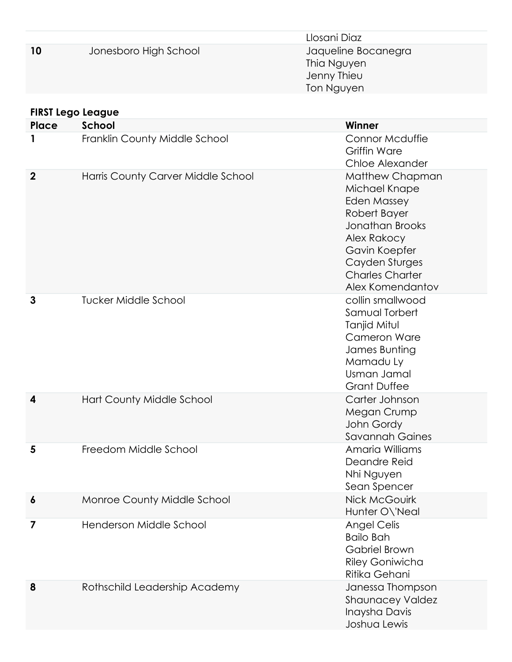|                          |                                    | Llosani Diaz                                                                                                                                                                                     |
|--------------------------|------------------------------------|--------------------------------------------------------------------------------------------------------------------------------------------------------------------------------------------------|
| 10                       | Jonesboro High School              | Jaqueline Bocanegra<br>Thia Nguyen<br>Jenny Thieu<br>Ton Nguyen                                                                                                                                  |
| <b>FIRST Lego League</b> |                                    |                                                                                                                                                                                                  |
| Place                    | School                             | Winner                                                                                                                                                                                           |
| 1                        | Franklin County Middle School      | <b>Connor Mcduffie</b><br><b>Griffin Ware</b><br>Chloe Alexander                                                                                                                                 |
| $\boldsymbol{2}$         | Harris County Carver Middle School | Matthew Chapman<br>Michael Knape<br><b>Eden Massey</b><br>Robert Bayer<br><b>Jonathan Brooks</b><br>Alex Rakocy<br>Gavin Koepfer<br>Cayden Sturges<br><b>Charles Charter</b><br>Alex Komendantov |
| 3                        | Tucker Middle School               | collin smallwood<br>Samual Torbert<br>Tanjid Mitul<br><b>Cameron Ware</b><br>James Bunting<br>Mamadu Ly<br>Usman Jamal<br><b>Grant Duffee</b>                                                    |
| 4                        | Hart County Middle School          | Carter Johnson<br>Megan Crump<br>John Gordy<br><b>Savannah Gaines</b>                                                                                                                            |
| 5                        | Freedom Middle School              | Amaria Williams<br>Deandre Reid<br>Nhi Nguyen<br>Sean Spencer                                                                                                                                    |
| $\boldsymbol{6}$         | Monroe County Middle School        | <b>Nick McGouirk</b><br>Hunter O\'Neal                                                                                                                                                           |
| $\overline{\mathbf{z}}$  | Henderson Middle School            | <b>Angel Celis</b><br><b>Bailo Bah</b><br><b>Gabriel Brown</b><br><b>Riley Goniwicha</b><br>Ritika Gehani                                                                                        |
| 8                        | Rothschild Leadership Academy      | Janessa Thompson<br><b>Shaunacey Valdez</b><br>Inaysha Davis<br>Joshua Lewis                                                                                                                     |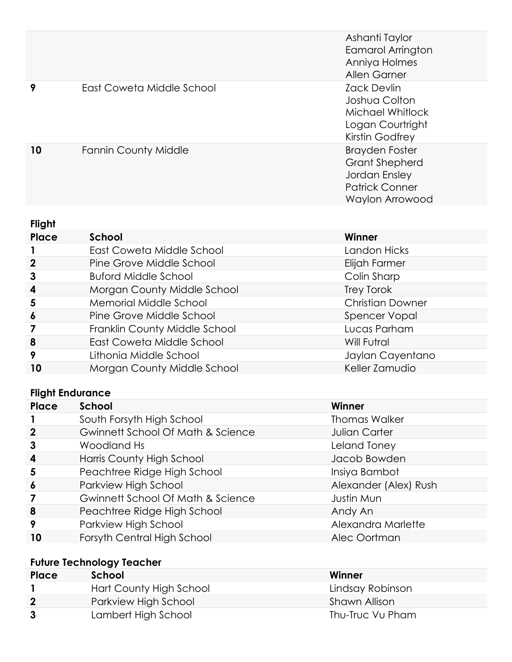|    |                             | Ashanti Taylor<br><b>Eamarol Arrington</b><br>Anniya Holmes<br>Allen Garner                                 |
|----|-----------------------------|-------------------------------------------------------------------------------------------------------------|
| 9  | East Coweta Middle School   | <b>Zack Devlin</b><br>Joshua Colton<br>Michael Whitlock<br>Logan Courtright<br>Kirstin Godfrey              |
| 10 | <b>Fannin County Middle</b> | <b>Brayden Foster</b><br><b>Grant Shepherd</b><br>Jordan Ensley<br><b>Patrick Conner</b><br>Waylon Arrowood |

#### **Flight**

| Place            | School                        | Winner                  |
|------------------|-------------------------------|-------------------------|
|                  | East Coweta Middle School     | Landon Hicks            |
| $\boldsymbol{2}$ | Pine Grove Middle School      | Elijah Farmer           |
| 3                | <b>Buford Middle School</b>   | Colin Sharp             |
| $\boldsymbol{4}$ | Morgan County Middle School   | Trey Torok              |
| 5                | Memorial Middle School        | <b>Christian Downer</b> |
| $\overline{6}$   | Pine Grove Middle School      | Spencer Vopal           |
|                  | Franklin County Middle School | Lucas Parham            |
| 8                | East Coweta Middle School     | Will Futral             |
| 9                | Lithonia Middle School        | Jaylan Cayentano        |
| 10               | Morgan County Middle School   | Keller Zamudio          |

### **Flight Endurance**

| Place            | School                            | Winner                |
|------------------|-----------------------------------|-----------------------|
|                  | South Forsyth High School         | <b>Thomas Walker</b>  |
| $\mathbf 2$      | Gwinnett School Of Math & Science | Julian Carter         |
| 3                | Woodland Hs                       | Leland Toney          |
| $\boldsymbol{4}$ | Harris County High School         | Jacob Bowden          |
| 5                | Peachtree Ridge High School       | Insiya Bambot         |
| $\boldsymbol{6}$ | Parkview High School              | Alexander (Alex) Rush |
|                  | Gwinnett School Of Math & Science | Justin Mun            |
| 8                | Peachtree Ridge High School       | Andy An               |
| 9                | Parkview High School              | Alexandra Marlette    |
| 10               | Forsyth Central High School       | Alec Oortman          |
|                  |                                   |                       |

# **Future Technology Teacher**

| Place                   | School                  | Winner           |
|-------------------------|-------------------------|------------------|
|                         | Hart County High School | Lindsay Robinson |
| $\overline{\mathbf{2}}$ | Parkview High School    | Shawn Allison    |
| -3                      | Lambert High School     | Thu-Truc Vu Pham |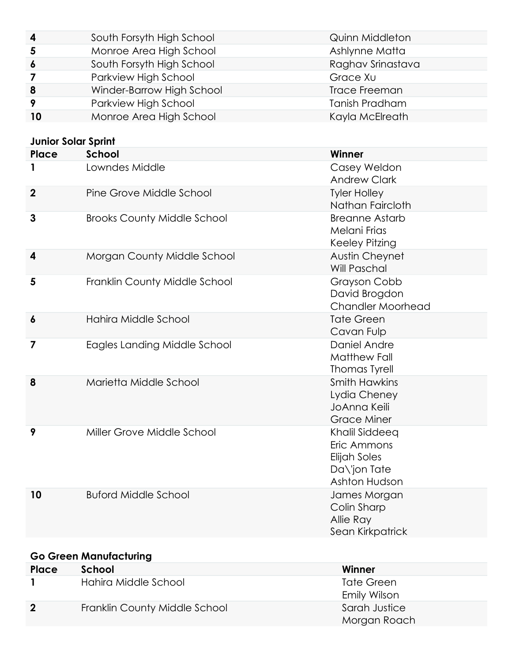| $\overline{\mathbf{4}}$ | South Forsyth High School | Quinn Middleton       |
|-------------------------|---------------------------|-----------------------|
| 5                       | Monroe Area High School   | Ashlynne Matta        |
| $\overline{6}$          | South Forsyth High School | Raghav Srinastava     |
| 7                       | Parkview High School      | Grace Xu              |
| 8                       | Winder-Barrow High School | <b>Trace Freeman</b>  |
| -9                      | Parkview High School      | <b>Tanish Pradham</b> |
| 10                      | Monroe Area High School   | Kayla McElreath       |

#### **Junior Solar Sprint**

| Place                   | <b>School</b>                      | Winner                                                                         |
|-------------------------|------------------------------------|--------------------------------------------------------------------------------|
| 1                       | Lowndes Middle                     | Casey Weldon<br><b>Andrew Clark</b>                                            |
| $\overline{2}$          | Pine Grove Middle School           | <b>Tyler Holley</b><br>Nathan Faircloth                                        |
| 3                       | <b>Brooks County Middle School</b> | <b>Breanne Astarb</b><br>Melani Frias<br>Keeley Pitzing                        |
| $\overline{\mathbf{4}}$ | Morgan County Middle School        | <b>Austin Cheynet</b><br>Will Paschal                                          |
| 5                       | Franklin County Middle School      | Grayson Cobb<br>David Brogdon<br><b>Chandler Moorhead</b>                      |
| $\boldsymbol{6}$        | Hahira Middle School               | <b>Tate Green</b><br>Cavan Fulp                                                |
| $\overline{\mathbf{z}}$ | Eagles Landing Middle School       | Daniel Andre<br><b>Matthew Fall</b><br><b>Thomas Tyrell</b>                    |
| 8                       | Marietta Middle School             | <b>Smith Hawkins</b><br>Lydia Cheney<br>JoAnna Keili<br><b>Grace Miner</b>     |
| 9                       | Miller Grove Middle School         | Khalil Siddeeq<br>Eric Ammons<br>Elijah Soles<br>Da\'jon Tate<br>Ashton Hudson |
| 10                      | <b>Buford Middle School</b>        | James Morgan<br>Colin Sharp<br>Allie Ray<br>Sean Kirkpatrick                   |

# **Go Green Manufacturing**

| Place       | School                        | Winner        |
|-------------|-------------------------------|---------------|
|             | Hahira Middle School          | Tate Green    |
|             |                               | Emily Wilson  |
| $\mathbf 2$ | Franklin County Middle School | Sarah Justice |
|             |                               | Morgan Roach  |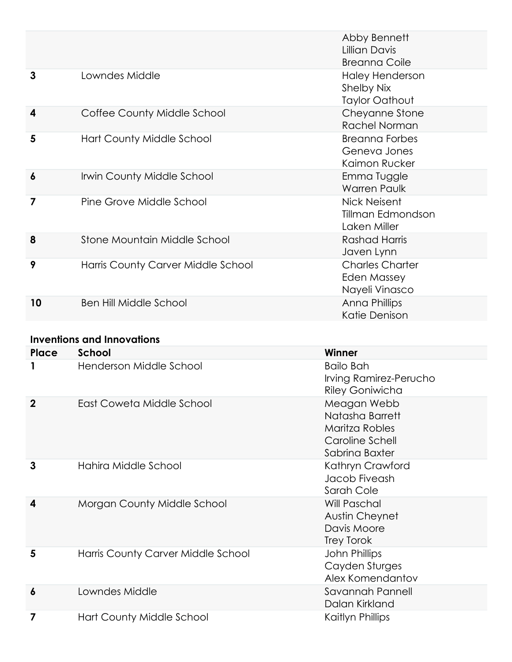|                  |                                    | Abby Bennett<br>Lillian Davis<br><b>Breanna Coile</b>         |
|------------------|------------------------------------|---------------------------------------------------------------|
| 3                | Lowndes Middle                     | <b>Haley Henderson</b><br>Shelby Nix<br><b>Taylor Oathout</b> |
| $\boldsymbol{4}$ | Coffee County Middle School        | Cheyanne Stone<br>Rachel Norman                               |
| 5                | Hart County Middle School          | <b>Breanna Forbes</b><br>Geneva Jones<br>Kaimon Rucker        |
| $\boldsymbol{6}$ | <b>Irwin County Middle School</b>  | Emma Tuggle<br><b>Warren Paulk</b>                            |
| 7                | Pine Grove Middle School           | Nick Neisent<br>Tillman Edmondson<br>Laken Miller             |
| 8                | Stone Mountain Middle School       | Rashad Harris<br>Javen Lynn                                   |
| 9                | Harris County Carver Middle School | <b>Charles Charter</b><br>Eden Massey<br>Nayeli Vinasco       |
| 10               | <b>Ben Hill Middle School</b>      | Anna Phillips<br>Katie Denison                                |

#### **Inventions and Innovations**

| <b>Place</b>     | School                             | Winner                                                                                |
|------------------|------------------------------------|---------------------------------------------------------------------------------------|
|                  | Henderson Middle School            | <b>Bailo Bah</b><br>Irving Ramirez-Perucho<br><b>Riley Goniwicha</b>                  |
| $\mathbf 2$      | East Coweta Middle School          | Meagan Webb<br>Natasha Barrett<br>Maritza Robles<br>Caroline Schell<br>Sabrina Baxter |
| 3                | Hahira Middle School               | Kathryn Crawford<br>Jacob Fiveash<br>Sarah Cole                                       |
| 4                | Morgan County Middle School        | Will Paschal<br>Austin Cheynet<br>Davis Moore<br>Trey Torok                           |
| 5                | Harris County Carver Middle School | John Phillips<br>Cayden Sturges<br>Alex Komendantov                                   |
| $\boldsymbol{6}$ | Lowndes Middle                     | Savannah Pannell<br>Dalan Kirkland                                                    |
|                  | Hart County Middle School          | Kaitlyn Phillips                                                                      |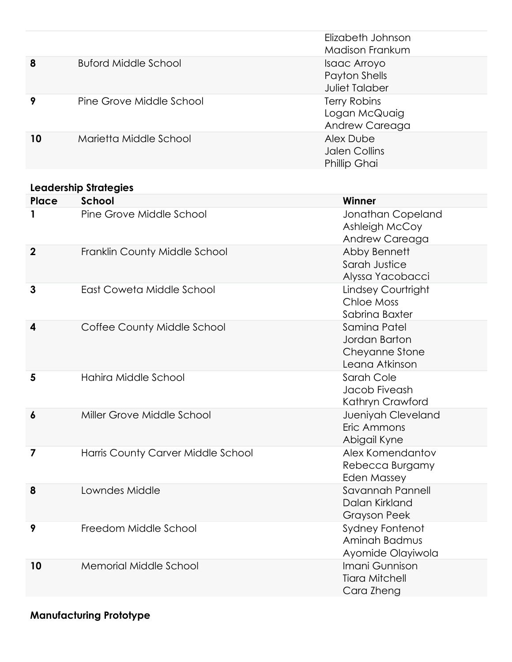|    |                          | Elizabeth Johnson<br>Madison Frankum                   |
|----|--------------------------|--------------------------------------------------------|
| 8  | Buford Middle School     | Isaac Arroyo<br>Payton Shells<br><b>Juliet Talaber</b> |
| 9  | Pine Grove Middle School | Terry Robins<br>Logan McQuaig<br>Andrew Careaga        |
| 10 | Marietta Middle School   | Alex Dube<br>Jalen Collins<br><b>Phillip Ghai</b>      |

#### **Leadership Strategies**

| Place                   | <b>School</b>                      | Winner                                                            |
|-------------------------|------------------------------------|-------------------------------------------------------------------|
| 1                       | Pine Grove Middle School           | Jonathan Copeland<br>Ashleigh McCoy<br>Andrew Careaga             |
| $\boldsymbol{2}$        | Franklin County Middle School      | Abby Bennett<br>Sarah Justice<br>Alyssa Yacobacci                 |
| 3                       | East Coweta Middle School          | Lindsey Courtright<br><b>Chloe Moss</b><br>Sabrina Baxter         |
| $\boldsymbol{4}$        | Coffee County Middle School        | Samina Patel<br>Jordan Barton<br>Cheyanne Stone<br>Leana Atkinson |
| 5                       | Hahira Middle School               | Sarah Cole<br>Jacob Fiveash<br>Kathryn Crawford                   |
| $\boldsymbol{6}$        | Miller Grove Middle School         | Jueniyah Cleveland<br>Eric Ammons<br>Abigail Kyne                 |
| $\overline{\mathbf{z}}$ | Harris County Carver Middle School | Alex Komendantov<br>Rebecca Burgamy<br><b>Eden Massey</b>         |
| 8                       | Lowndes Middle                     | Savannah Pannell<br>Dalan Kirkland<br><b>Grayson Peek</b>         |
| 9                       | Freedom Middle School              | <b>Sydney Fontenot</b><br>Aminah Badmus<br>Ayomide Olayiwola      |
| 10                      | <b>Memorial Middle School</b>      | Imani Gunnison<br><b>Tiara Mitchell</b><br>Cara Zheng             |

**Manufacturing Prototype**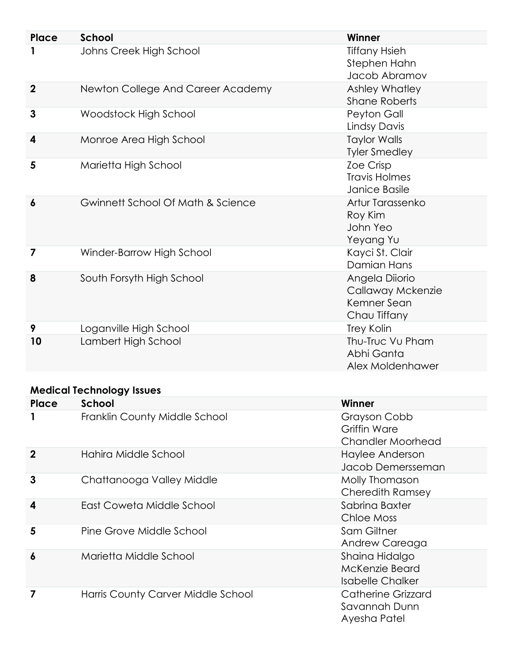| Place            | <b>School</b>                     | Winner                                                             |
|------------------|-----------------------------------|--------------------------------------------------------------------|
|                  | Johns Creek High School           | <b>Tiffany Hsieh</b><br>Stephen Hahn<br>Jacob Abramov              |
| $\overline{2}$   | Newton College And Career Academy | Ashley Whatley<br><b>Shane Roberts</b>                             |
| $\mathbf{3}$     | Woodstock High School             | Peyton Gall<br><b>Lindsy Davis</b>                                 |
| 4                | Monroe Area High School           | <b>Taylor Walls</b><br><b>Tyler Smedley</b>                        |
| 5                | Marietta High School              | Zoe Crisp<br><b>Travis Holmes</b><br>Janice Basile                 |
| $\boldsymbol{6}$ | Gwinnett School Of Math & Science | Artur Tarassenko<br>Roy Kim<br>John Yeo<br>Yeyang Yu               |
| 7                | Winder-Barrow High School         | Kayci St. Clair<br><b>Damian Hans</b>                              |
| 8                | South Forsyth High School         | Angela Diiorio<br>Callaway Mckenzie<br>Kemner Sean<br>Chau Tiffany |
| 9                | Loganville High School            | Trey Kolin                                                         |
| 10               | Lambert High School               | Thu-Truc Vu Pham<br>Abhi Ganta<br>Alex Moldenhawer                 |

#### **Medical Technology Issues**

| Place       | School                             | Winner                                                      |
|-------------|------------------------------------|-------------------------------------------------------------|
|             | Franklin County Middle School      | Grayson Cobb<br>Griffin Ware<br><b>Chandler Moorhead</b>    |
| $\mathbf 2$ | Hahira Middle School               | Haylee Anderson<br>Jacob Demersseman                        |
| 3           | Chattanooga Valley Middle          | Molly Thomason<br>Cheredith Ramsey                          |
| 4           | East Coweta Middle School          | Sabrina Baxter<br>Chloe Moss                                |
| 5           | Pine Grove Middle School           | Sam Giltner<br>Andrew Careaga                               |
| 6           | Marietta Middle School             | Shaina Hidalgo<br>McKenzie Beard<br><b>Isabelle Chalker</b> |
|             | Harris County Carver Middle School | Catherine Grizzard<br>Savannah Dunn<br>Ayesha Patel         |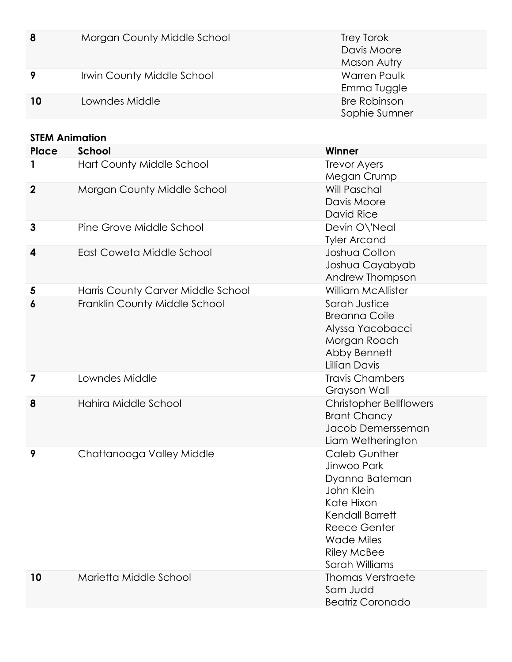| 8  | Morgan County Middle School | Trey Torok<br>Davis Moore<br>Mason Autry |
|----|-----------------------------|------------------------------------------|
|    | Irwin County Middle School  | <b>Warren Paulk</b><br>Emma Tuggle       |
| 10 | Lowndes Middle              | <b>Bre Robinson</b><br>Sophie Sumner     |
|    |                             |                                          |

| Place            | <b>School</b>                                                       | Winner                                                                                                                                                                            |
|------------------|---------------------------------------------------------------------|-----------------------------------------------------------------------------------------------------------------------------------------------------------------------------------|
| 1                | Hart County Middle School                                           | <b>Trevor Ayers</b><br>Megan Crump                                                                                                                                                |
| $\boldsymbol{2}$ | Morgan County Middle School                                         | Will Paschal<br>Davis Moore<br>David Rice                                                                                                                                         |
| 3                | Pine Grove Middle School                                            | Devin O\'Neal<br><b>Tyler Arcand</b>                                                                                                                                              |
| 4                | East Coweta Middle School                                           | Joshua Colton<br>Joshua Cayabyab<br>Andrew Thompson                                                                                                                               |
| 5<br>6           | Harris County Carver Middle School<br>Franklin County Middle School | <b>William McAllister</b><br>Sarah Justice<br><b>Breanna Coile</b><br>Alyssa Yacobacci<br>Morgan Roach<br>Abby Bennett<br><b>Lillian Davis</b>                                    |
| 7                | Lowndes Middle                                                      | <b>Travis Chambers</b><br>Grayson Wall                                                                                                                                            |
| 8                | Hahira Middle School                                                | <b>Christopher Bellflowers</b><br><b>Brant Chancy</b><br>Jacob Demersseman<br>Liam Wetherington                                                                                   |
| 9                | Chattanooga Valley Middle                                           | <b>Caleb Gunther</b><br>Jinwoo Park<br>Dyanna Bateman<br>John Klein<br>Kate Hixon<br>Kendall Barrett<br>Reece Genter<br><b>Wade Miles</b><br><b>Riley McBee</b><br>Sarah Williams |
| 10               | Marietta Middle School                                              | <b>Thomas Verstraete</b>                                                                                                                                                          |

Sam Judd

Beatriz Coronado

**STEM Animation**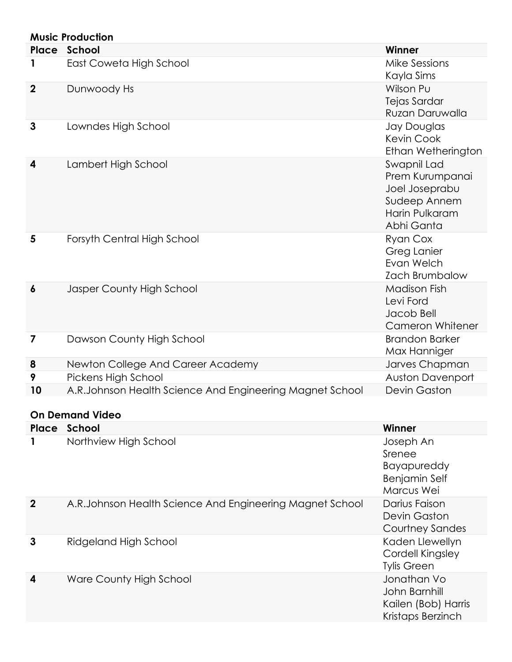|                  | <b>Music Production</b>                                   |                                                                                                  |
|------------------|-----------------------------------------------------------|--------------------------------------------------------------------------------------------------|
|                  | Place School                                              | Winner                                                                                           |
| 1                | East Coweta High School                                   | <b>Mike Sessions</b><br>Kayla Sims                                                               |
| $\boldsymbol{2}$ | Dunwoody Hs                                               | Wilson Pu<br>Tejas Sardar<br>Ruzan Daruwalla                                                     |
| 3                | Lowndes High School                                       | Jay Douglas<br><b>Kevin Cook</b><br>Ethan Wetherington                                           |
| 4                | Lambert High School                                       | Swapnil Lad<br>Prem Kurumpanai<br>Joel Joseprabu<br>Sudeep Annem<br>Harin Pulkaram<br>Abhi Ganta |
| 5                | Forsyth Central High School                               | Ryan Cox<br>Greg Lanier<br>Evan Welch<br><b>Zach Brumbalow</b>                                   |
| 6                | Jasper County High School                                 | <b>Madison Fish</b><br>Levi Ford<br>Jacob Bell<br><b>Cameron Whitener</b>                        |
| 7                | Dawson County High School                                 | <b>Brandon Barker</b><br>Max Hanniger                                                            |
| 8                | Newton College And Career Academy                         | Jarves Chapman                                                                                   |
| 9                | Pickens High School                                       | <b>Auston Davenport</b>                                                                          |
| 10               | A.R.Johnson Health Science And Engineering Magnet School  | <b>Devin Gaston</b>                                                                              |
|                  | <b>On Demand Video</b>                                    |                                                                                                  |
|                  | Place School                                              | Winner                                                                                           |
| 1                | Northview High School                                     | Joseph An<br>Srenee<br><b>Bayapureddy</b><br><b>Benjamin Self</b><br>Marcus Wei                  |
| $\boldsymbol{2}$ | A.R. Johnson Health Science And Engineering Magnet School | Darius Faison<br><b>Devin Gaston</b><br><b>Courtney Sandes</b>                                   |
| 3                | Ridgeland High School                                     | Kaden Llewellyn<br>Cordell Kingsley<br><b>Tylis Green</b>                                        |
| 4                | Ware County High School                                   | Jonathan Vo<br>John Barnhill<br>Kailen (Bob) Harris<br>Kristaps Berzinch                         |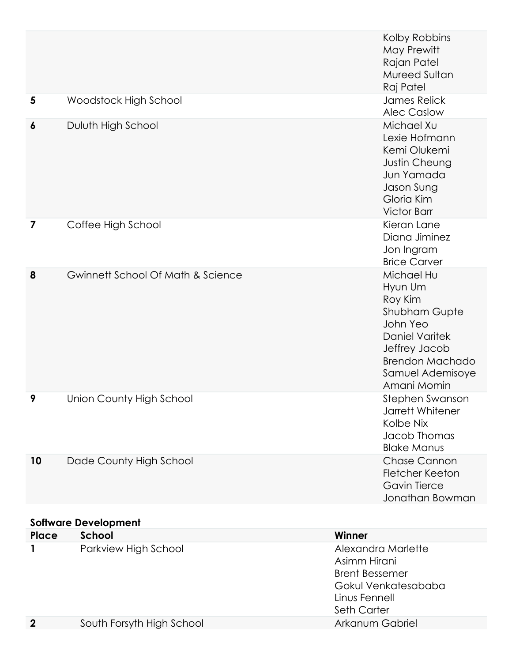|                  |                                   | Kolby Robbins<br>May Prewitt<br>Rajan Patel<br>Mureed Sultan<br>Raj Patel                                                                                            |
|------------------|-----------------------------------|----------------------------------------------------------------------------------------------------------------------------------------------------------------------|
| 5                | Woodstock High School             | <b>James Relick</b><br><b>Alec Caslow</b>                                                                                                                            |
| 6                | Duluth High School                | Michael Xu<br>Lexie Hofmann<br>Kemi Olukemi<br>Justin Cheung<br>Jun Yamada<br>Jason Sung<br>Gloria Kim<br><b>Victor Barr</b>                                         |
| 7                | Coffee High School                | Kieran Lane<br>Diana Jiminez<br>Jon Ingram<br><b>Brice Carver</b>                                                                                                    |
| 8                | Gwinnett School Of Math & Science | Michael Hu<br>Hyun Um<br>Roy Kim<br>Shubham Gupte<br>John Yeo<br><b>Daniel Varitek</b><br>Jeffrey Jacob<br><b>Brendon Machado</b><br>Samuel Ademisoye<br>Amani Momin |
| 9                | Union County High School          | Stephen Swanson<br>Jarrett Whitener<br>Kolbe Nix<br>Jacob Thomas<br><b>Blake Manus</b>                                                                               |
| 10               | Dade County High School           | <b>Chase Cannon</b><br><b>Fletcher Keeton</b><br><b>Gavin Tierce</b><br>Jonathan Bowman                                                                              |
|                  | <b>Software Development</b>       |                                                                                                                                                                      |
| Place            | School                            | Winner                                                                                                                                                               |
| 1                | Parkview High School              | Alexandra Marlette<br>Asimm Hirani<br><b>Brent Bessemer</b><br>Gokul Venkatesababa<br>Linus Fennell<br>Seth Carter                                                   |
| $\boldsymbol{2}$ | South Forsyth High School         | Arkanum Gabriel                                                                                                                                                      |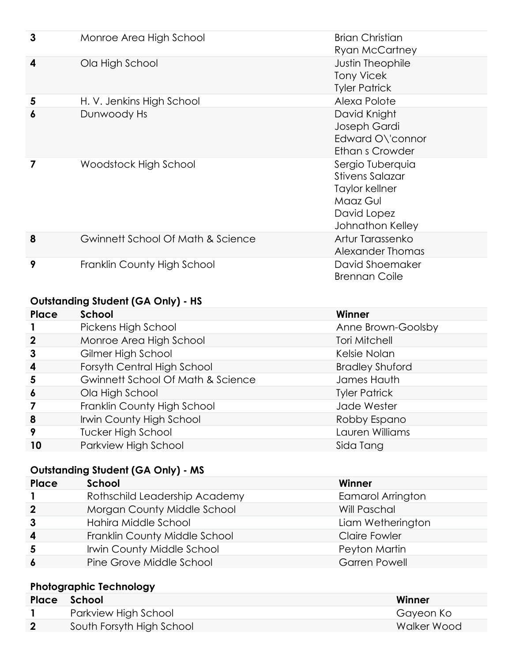| 3 | Monroe Area High School           | <b>Brian Christian</b><br><b>Ryan McCartney</b>                                                             |
|---|-----------------------------------|-------------------------------------------------------------------------------------------------------------|
| 4 | Ola High School                   | <b>Justin Theophile</b><br><b>Tony Vicek</b><br><b>Tyler Patrick</b>                                        |
| 5 | H. V. Jenkins High School         | Alexa Polote                                                                                                |
| 6 | Dunwoody Hs                       | David Knight<br>Joseph Gardi<br>Edward O\'connor<br>Ethan s Crowder                                         |
| 7 | Woodstock High School             | Sergio Tuberquia<br><b>Stivens Salazar</b><br>Taylor kellner<br>Maaz Gul<br>David Lopez<br>Johnathon Kelley |
| 8 | Gwinnett School Of Math & Science | Artur Tarassenko<br>Alexander Thomas                                                                        |
| 9 | Franklin County High School       | David Shoemaker<br><b>Brennan Coile</b>                                                                     |

# **Outstanding Student (GA Only) - HS**

| Place            | School                            | Winner                 |
|------------------|-----------------------------------|------------------------|
|                  | Pickens High School               | Anne Brown-Goolsby     |
| $\mathbf 2$      | Monroe Area High School           | <b>Tori Mitchell</b>   |
| 3                | Gilmer High School                | Kelsie Nolan           |
| $\boldsymbol{4}$ | Forsyth Central High School       | <b>Bradley Shuford</b> |
| 5                | Gwinnett School Of Math & Science | James Hauth            |
| $\boldsymbol{6}$ | Ola High School                   | <b>Tyler Patrick</b>   |
|                  | Franklin County High School       | Jade Wester            |
| 8                | Irwin County High School          | Robby Espano           |
| 9                | <b>Tucker High School</b>         | Lauren Williams        |
| 10               | Parkview High School              | Sida Tang              |

#### **Outstanding Student (GA Only) - MS**

| Place            | School                        | Winner                   |
|------------------|-------------------------------|--------------------------|
|                  | Rothschild Leadership Academy | <b>Eamarol Arrington</b> |
| $\overline{2}$   | Morgan County Middle School   | Will Paschal             |
| $\mathbf{3}$     | Hahira Middle School          | Liam Wetherington        |
| $\boldsymbol{4}$ | Franklin County Middle School | <b>Claire Fowler</b>     |
| 5                | Irwin County Middle School    | Peyton Martin            |
| $\overline{6}$   | Pine Grove Middle School      | <b>Garren Powell</b>     |
|                  |                               |                          |

# **Photographic Technology**

| Place        | school School             | Winner      |
|--------------|---------------------------|-------------|
|              | Parkview High School      | Gayeon Ko   |
| $\mathbf{2}$ | South Forsyth High School | Walker Wood |
|              |                           |             |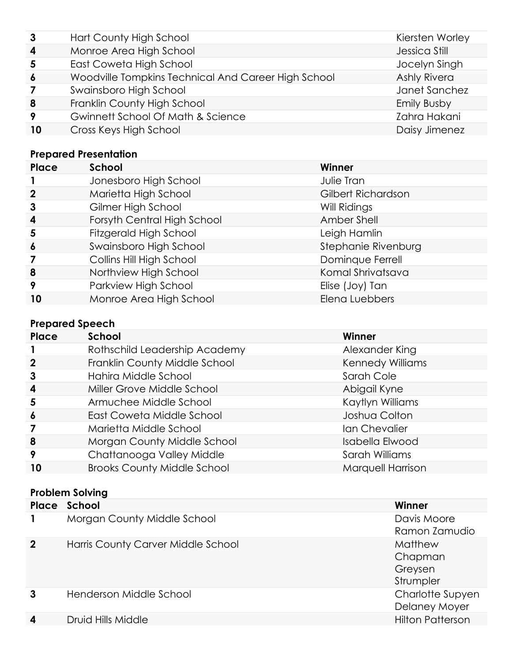| 3                | Hart County High School                             | Kiersten Worley    |
|------------------|-----------------------------------------------------|--------------------|
| 4                | Monroe Area High School                             | Jessica Still      |
| 5                | East Coweta High School                             | Jocelyn Singh      |
| $\boldsymbol{6}$ | Woodville Tompkins Technical And Career High School | Ashly Rivera       |
|                  | Swainsboro High School                              | Janet Sanchez      |
| 8                | Franklin County High School                         | <b>Emily Busby</b> |
| 9                | Gwinnett School Of Math & Science                   | Zahra Hakani       |
| 10               | Cross Keys High School                              | Daisy Jimenez      |

# **Prepared Presentation**

| Place            | School                      | Winner              |
|------------------|-----------------------------|---------------------|
|                  | Jonesboro High School       | Julie Tran          |
| $\mathbf{2}$     | Marietta High School        | Gilbert Richardson  |
| 3                | Gilmer High School          | Will Ridings        |
| $\boldsymbol{4}$ | Forsyth Central High School | Amber Shell         |
| 5                | Fitzgerald High School      | Leigh Hamlin        |
| $\boldsymbol{6}$ | Swainsboro High School      | Stephanie Rivenburg |
| 7                | Collins Hill High School    | Dominque Ferrell    |
| 8                | Northview High School       | Komal Shrivatsava   |
| 9                | Parkview High School        | Elise (Joy) Tan     |
| 10               | Monroe Area High School     | Elena Luebbers      |

# **Prepared Speech**

| Place            | School                             | Winner                  |
|------------------|------------------------------------|-------------------------|
|                  | Rothschild Leadership Academy      | Alexander King          |
| $\mathbf 2$      | Franklin County Middle School      | <b>Kennedy Williams</b> |
| $\mathbf{3}$     | Hahira Middle School               | Sarah Cole              |
| $\boldsymbol{4}$ | Miller Grove Middle School         | Abigail Kyne            |
| 5                | Armuchee Middle School             | Kaytlyn Williams        |
| $\boldsymbol{6}$ | East Coweta Middle School          | Joshua Colton           |
|                  | Marietta Middle School             | Ian Chevalier           |
| 8                | Morgan County Middle School        | Isabella Elwood         |
| 9                | Chattanooga Valley Middle          | Sarah Williams          |
| 10               | <b>Brooks County Middle School</b> | Marquell Harrison       |

#### **Problem Solving**

|              | Place School                       | Winner                                     |
|--------------|------------------------------------|--------------------------------------------|
|              | Morgan County Middle School        | Davis Moore<br>Ramon Zamudio               |
| $\mathbf{2}$ | Harris County Carver Middle School | Matthew<br>Chapman<br>Greysen<br>Strumpler |
|              | Henderson Middle School            | Charlotte Supyen<br>Delaney Moyer          |
| 4            | Druid Hills Middle                 | <b>Hilton Patterson</b>                    |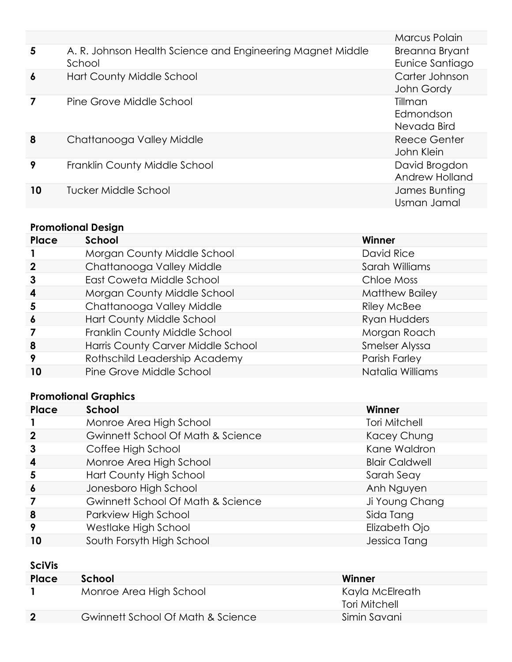|                         |                                                                      | Marcus Polain                       |
|-------------------------|----------------------------------------------------------------------|-------------------------------------|
| $\overline{\mathbf{5}}$ | A. R. Johnson Health Science and Engineering Magnet Middle<br>School | Breanna Bryant<br>Eunice Santiago   |
| $\boldsymbol{6}$        | Hart County Middle School                                            | Carter Johnson<br>John Gordy        |
| 7                       | Pine Grove Middle School                                             | Tillman<br>Edmondson<br>Nevada Bird |
| 8                       | Chattanooga Valley Middle                                            | Reece Genter<br>John Klein          |
| 9                       | Franklin County Middle School                                        | David Brogdon<br>Andrew Holland     |
| 10                      | Tucker Middle School                                                 | James Bunting<br>Usman Jamal        |
|                         |                                                                      |                                     |

# **Promotional Design**

| <b>Place</b>     | <b>School</b>                      | Winner                |
|------------------|------------------------------------|-----------------------|
|                  | Morgan County Middle School        | David Rice            |
| $\mathbf 2$      | Chattanooga Valley Middle          | Sarah Williams        |
| 3                | East Coweta Middle School          | Chloe Moss            |
| $\boldsymbol{4}$ | Morgan County Middle School        | <b>Matthew Bailey</b> |
| 5                | Chattanooga Valley Middle          | <b>Riley McBee</b>    |
| $\boldsymbol{6}$ | Hart County Middle School          | Ryan Hudders          |
|                  | Franklin County Middle School      | Morgan Roach          |
| 8                | Harris County Carver Middle School | Smelser Alyssa        |
| 9                | Rothschild Leadership Academy      | Parish Farley         |
| 10               | Pine Grove Middle School           | Natalia Williams      |

# **Promotional Graphics**

| Place                   | School                            | Winner                |
|-------------------------|-----------------------------------|-----------------------|
|                         | Monroe Area High School           | <b>Tori Mitchell</b>  |
| $\mathbf 2$             | Gwinnett School Of Math & Science | Kacey Chung           |
| $\mathbf{3}$            | Coffee High School                | Kane Waldron          |
| $\overline{\mathbf{4}}$ | Monroe Area High School           | <b>Blair Caldwell</b> |
| 5                       | Hart County High School           | Sarah Seay            |
| $\boldsymbol{6}$        | Jonesboro High School             | Anh Nguyen            |
|                         | Gwinnett School Of Math & Science | Ji Young Chang        |
| 8                       | Parkview High School              | Sida Tang             |
| 9                       | Westlake High School              | Elizabeth Ojo         |
| 10                      | South Forsyth High School         | Jessica Tang          |

### **SciVis**

| Place            | School                            | Winner                           |
|------------------|-----------------------------------|----------------------------------|
|                  | Monroe Area High School           | Kayla McElreath<br>Tori Mitchell |
| $\boldsymbol{2}$ | Gwinnett School Of Math & Science | Simin Savani                     |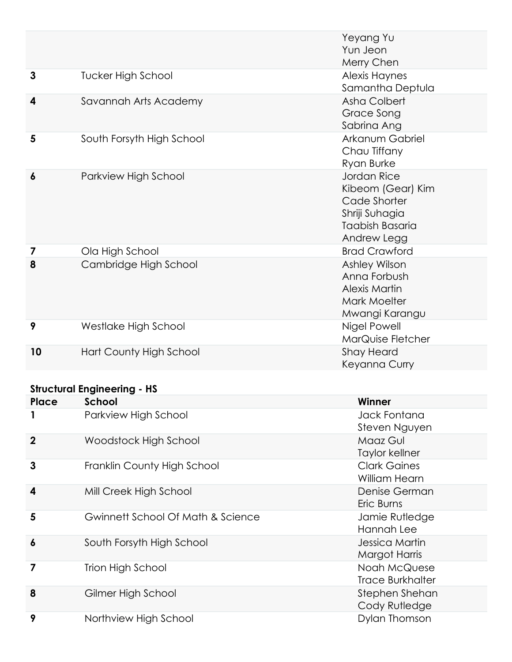|                  |                           | Yeyang Yu<br>Yun Jeon<br>Merry Chen                                                                  |
|------------------|---------------------------|------------------------------------------------------------------------------------------------------|
| $\mathbf{3}$     | <b>Tucker High School</b> | Alexis Haynes<br>Samantha Deptula                                                                    |
| 4                | Savannah Arts Academy     | Asha Colbert<br>Grace Song<br>Sabrina Ang                                                            |
| 5                | South Forsyth High School | Arkanum Gabriel<br>Chau Tiffany<br>Ryan Burke                                                        |
| $\boldsymbol{6}$ | Parkview High School      | Jordan Rice<br>Kibeom (Gear) Kim<br>Cade Shorter<br>Shriji Suhagia<br>Taabish Basaria<br>Andrew Legg |
| 7                | Ola High School           | <b>Brad Crawford</b>                                                                                 |
| 8                | Cambridge High School     | Ashley Wilson<br>Anna Forbush<br><b>Alexis Martin</b><br>Mark Moelter<br>Mwangi Karangu              |
| 9                | Westlake High School      | Nigel Powell<br>MarQuise Fletcher                                                                    |
| 10               | Hart County High School   | <b>Shay Heard</b><br>Keyanna Curry                                                                   |

#### **Structural Engineering - HS**

| Place            | School                            | Winner                                  |
|------------------|-----------------------------------|-----------------------------------------|
|                  | Parkview High School              | Jack Fontana<br>Steven Nguyen           |
| $\mathbf{2}$     | Woodstock High School             | Maaz Gul<br>Taylor kellner              |
| 3                | Franklin County High School       | <b>Clark Gaines</b><br>William Hearn    |
| 4                | Mill Creek High School            | Denise German<br>Eric Burns             |
| 5                | Gwinnett School Of Math & Science | Jamie Rutledge<br>Hannah Lee            |
| $\boldsymbol{6}$ | South Forsyth High School         | Jessica Martin<br><b>Margot Harris</b>  |
| 7                | <b>Trion High School</b>          | Noah McQuese<br><b>Trace Burkhalter</b> |
| 8                | Gilmer High School                | Stephen Shehan<br>Cody Rutledge         |
| 9                | Northview High School             | Dylan Thomson                           |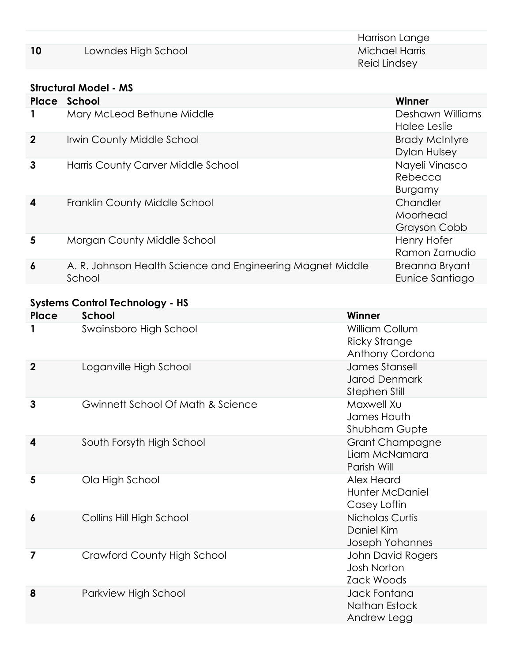| Harrison Lange                                              |  |
|-------------------------------------------------------------|--|
| 10<br>Lowndes High School<br>Michael Harris<br>Reid Lindsey |  |

#### **Structural Model - MS**

| Place            | School                                                               | Winner                                       |
|------------------|----------------------------------------------------------------------|----------------------------------------------|
|                  | Mary McLeod Bethune Middle                                           | Deshawn Williams<br>Halee Leslie             |
| $\mathbf{2}$     | Irwin County Middle School                                           | <b>Brady McIntyre</b><br><b>Dylan Hulsey</b> |
| $\mathbf{3}$     | Harris County Carver Middle School                                   | Nayeli Vinasco<br>Rebecca<br><b>Burgamy</b>  |
| $\boldsymbol{4}$ | Franklin County Middle School                                        | Chandler<br>Moorhead<br>Grayson Cobb         |
| 5                | Morgan County Middle School                                          | <b>Henry Hofer</b><br>Ramon Zamudio          |
| 6                | A. R. Johnson Health Science and Engineering Magnet Middle<br>School | Breanna Bryant<br>Eunice Santiago            |

# **Systems Control Technology - HS**

| Place       | School                             | Winner                                                    |
|-------------|------------------------------------|-----------------------------------------------------------|
| 1           | Swainsboro High School             | William Collum<br><b>Ricky Strange</b><br>Anthony Cordona |
| $\mathbf 2$ | Loganville High School             | James Stansell<br><b>Jarod Denmark</b><br>Stephen Still   |
| 3           | Gwinnett School Of Math & Science  | Maxwell Xu<br>James Hauth<br>Shubham Gupte                |
| 4           | South Forsyth High School          | <b>Grant Champagne</b><br>Liam McNamara<br>Parish Will    |
| 5           | Ola High School                    | Alex Heard<br>Hunter McDaniel<br>Casey Loftin             |
| 6           | Collins Hill High School           | Nicholas Curtis<br>Daniel Kim<br>Joseph Yohannes          |
| 7           | <b>Crawford County High School</b> | John David Rogers<br><b>Josh Norton</b><br>Zack Woods     |
| 8           | Parkview High School               | Jack Fontana<br>Nathan Estock<br>Andrew Legg              |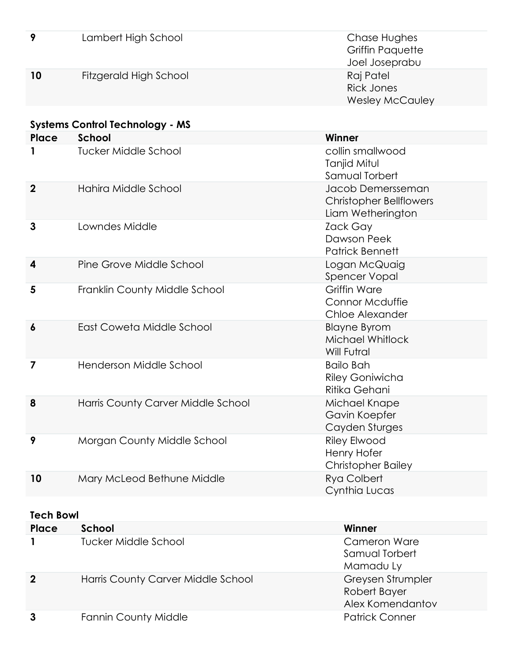| 9                | Lambert High School                    | Chase Hughes<br><b>Griffin Paquette</b><br>Joel Joseprabu                |
|------------------|----------------------------------------|--------------------------------------------------------------------------|
| 10               | Fitzgerald High School                 | Raj Patel<br><b>Rick Jones</b><br><b>Wesley McCauley</b>                 |
|                  | <b>Systems Control Technology - MS</b> |                                                                          |
| <b>Place</b>     | School                                 | Winner                                                                   |
| 1                | <b>Tucker Middle School</b>            | collin smallwood<br>Tanjid Mitul<br>Samual Torbert                       |
| $\boldsymbol{2}$ | Hahira Middle School                   | Jacob Demersseman<br><b>Christopher Bellflowers</b><br>Liam Wetherington |
| 3                | Lowndes Middle                         | Zack Gay<br>Dawson Peek<br><b>Patrick Bennett</b>                        |
| 4                | Pine Grove Middle School               | Logan McQuaig<br><b>Spencer Vopal</b>                                    |
| 5                | Franklin County Middle School          | <b>Griffin Ware</b><br>Connor Mcduffie<br>Chloe Alexander                |
| 6                | East Coweta Middle School              | <b>Blayne Byrom</b><br>Michael Whitlock<br><b>Will Futral</b>            |
| 7                | Henderson Middle School                | <b>Bailo Bah</b><br><b>Riley Goniwicha</b><br>Ritika Gehani              |
| 8                | Harris County Carver Middle School     | Michael Knape<br>Gavin Koepfer<br>Cayden Sturges                         |
| 9                | Morgan County Middle School            | <b>Riley Elwood</b><br>Henry Hofer<br><b>Christopher Bailey</b>          |
| 10               | Mary McLeod Bethune Middle             | Rya Colbert<br>Cynthia Lucas                                             |

#### **Tech Bowl**

| Place            | School                             | Winner                                                |
|------------------|------------------------------------|-------------------------------------------------------|
|                  | Tucker Middle School               | <b>Cameron Ware</b><br>Samual Torbert<br>Mamadu Ly    |
| $\boldsymbol{2}$ | Harris County Carver Middle School | Greysen Strumpler<br>Robert Bayer<br>Alex Komendantov |
|                  | <b>Fannin County Middle</b>        | <b>Patrick Conner</b>                                 |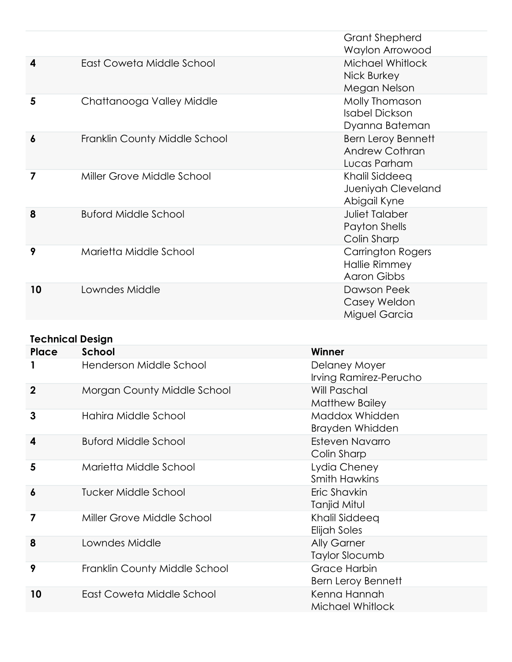|                |                               | <b>Grant Shepherd</b><br>Waylon Arrowood                           |
|----------------|-------------------------------|--------------------------------------------------------------------|
| 4              | East Coweta Middle School     | Michael Whitlock<br>Nick Burkey<br>Megan Nelson                    |
| 5              | Chattanooga Valley Middle     | Molly Thomason<br><b>Isabel Dickson</b><br>Dyanna Bateman          |
| 6              | Franklin County Middle School | <b>Bern Leroy Bennett</b><br><b>Andrew Cothran</b><br>Lucas Parham |
| $\overline{7}$ | Miller Grove Middle School    | Khalil Siddeeq<br>Jueniyah Cleveland<br>Abigail Kyne               |
| 8              | <b>Buford Middle School</b>   | <b>Juliet Talaber</b><br>Payton Shells<br>Colin Sharp              |
| 9              | Marietta Middle School        | <b>Carrington Rogers</b><br>Hallie Rimmey<br><b>Aaron Gibbs</b>    |
| 10             | Lowndes Middle                | Dawson Peek<br>Casey Weldon<br>Miguel Garcia                       |

# **Technical Design**

| Place          | School                        | Winner                                           |
|----------------|-------------------------------|--------------------------------------------------|
|                | Henderson Middle School       | Delaney Moyer<br>Irving Ramirez-Perucho          |
| $\overline{2}$ | Morgan County Middle School   | Will Paschal<br>Matthew Bailey                   |
| 3              | Hahira Middle School          | Maddox Whidden<br>Brayden Whidden                |
| 4              | <b>Buford Middle School</b>   | Esteven Navarro<br>Colin Sharp                   |
| 5              | Marietta Middle School        | Lydia Cheney<br><b>Smith Hawkins</b>             |
| 6              | Tucker Middle School          | Eric Shavkin<br>Tanjid Mitul                     |
| 7              | Miller Grove Middle School    | Khalil Siddeeq<br>Elijah Soles                   |
| 8              | Lowndes Middle                | <b>Ally Garner</b><br><b>Taylor Slocumb</b>      |
| 9              | Franklin County Middle School | <b>Grace Harbin</b><br><b>Bern Leroy Bennett</b> |
| 10             | East Coweta Middle School     | Kenna Hannah<br>Michael Whitlock                 |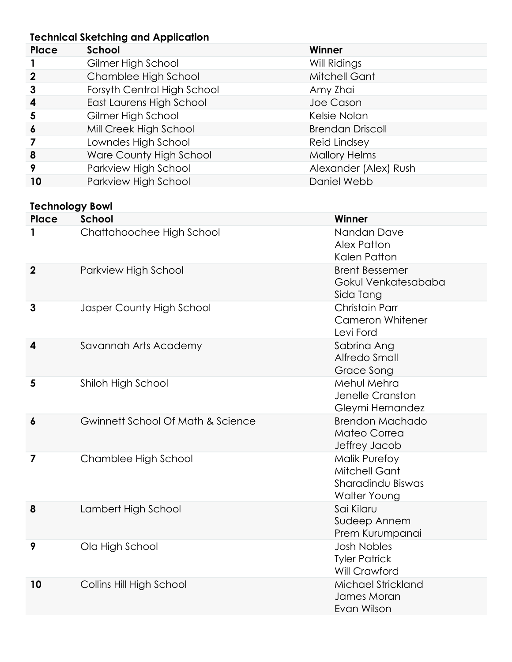#### **Technical Sketching and Application**

|                        | Technical Sketching and Application |                                       |
|------------------------|-------------------------------------|---------------------------------------|
| Place                  | <b>School</b>                       | Winner                                |
|                        | Gilmer High School                  | Will Ridings                          |
| $\boldsymbol{2}$       | Chamblee High School                | <b>Mitchell Gant</b>                  |
| 3                      | Forsyth Central High School         | Amy Zhai                              |
| 4                      | East Laurens High School            | Joe Cason                             |
| 5                      | Gilmer High School                  | Kelsie Nolan                          |
| 6                      | Mill Creek High School              | <b>Brendan Driscoll</b>               |
| 7                      | Lowndes High School                 | <b>Reid Lindsey</b>                   |
| 8                      | Ware County High School             | <b>Mallory Helms</b>                  |
| 9                      | Parkview High School                | Alexander (Alex) Rush                 |
| 10                     | Parkview High School                | Daniel Webb                           |
| <b>Technology Bowl</b> |                                     |                                       |
| Place                  | School                              | Winner                                |
|                        | Chattahoochee High School           | Nandan Dave                           |
|                        |                                     | Alex Patton                           |
|                        |                                     | Kalen Patton                          |
| $\overline{2}$         | Parkview High School                | <b>Brent Bessemer</b>                 |
|                        |                                     | Gokul Venkatesababa                   |
|                        |                                     | Sida Tang                             |
| $\mathbf{3}$           | Jasper County High School           | <b>Christain Parr</b>                 |
|                        |                                     | <b>Cameron Whitener</b>               |
|                        |                                     | Levi Ford                             |
| 4                      | Savannah Arts Academy               | Sabrina Ang                           |
|                        |                                     | Alfredo Small                         |
|                        |                                     | Grace Song                            |
| 5                      | Shiloh High School                  | Mehul Mehra                           |
|                        |                                     | Jenelle Cranston                      |
|                        |                                     | Gleymi Hernandez                      |
| 6                      | Gwinnett School Of Math & Science   | <b>Brendon Machado</b>                |
|                        |                                     | Mateo Correa                          |
|                        | Chamblee High School                | Jeffrey Jacob<br><b>Malik Purefoy</b> |
| 7                      |                                     | <b>Mitchell Gant</b>                  |
|                        |                                     | Sharadindu Biswas                     |
|                        |                                     | Walter Young                          |
| 8                      | Lambert High School                 | Sai Kilaru                            |
|                        |                                     | Sudeep Annem                          |
|                        |                                     | Prem Kurumpanai                       |
| 9                      | Ola High School                     | <b>Josh Nobles</b>                    |
|                        |                                     | <b>Tyler Patrick</b>                  |
|                        |                                     | Will Crawford                         |

**10** Collins Hill High School Michael Strickland James Moran Evan Wilson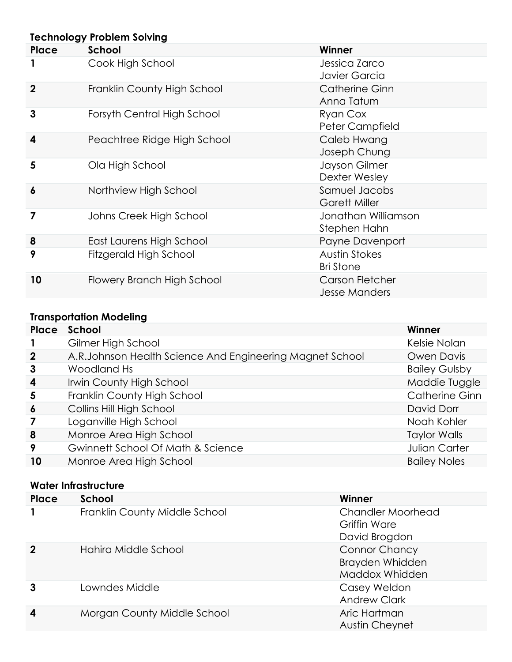| <b>Technology Problem Solving</b> |                             |                                          |
|-----------------------------------|-----------------------------|------------------------------------------|
| Place                             | School                      | Winner                                   |
|                                   | Cook High School            | Jessica Zarco<br>Javier Garcia           |
| $\boldsymbol{2}$                  | Franklin County High School | <b>Catherine Ginn</b><br>Anna Tatum      |
| $\mathbf{3}$                      | Forsyth Central High School | Ryan Cox<br>Peter Campfield              |
| 4                                 | Peachtree Ridge High School | Caleb Hwang<br>Joseph Chung              |
| 5                                 | Ola High School             | Jayson Gilmer<br>Dexter Wesley           |
| $\boldsymbol{6}$                  | Northview High School       | Samuel Jacobs<br><b>Garett Miller</b>    |
| $\overline{\mathbf{z}}$           | Johns Creek High School     | Jonathan Williamson<br>Stephen Hahn      |
| 8                                 | East Laurens High School    | Payne Davenport                          |
| 9                                 | Fitzgerald High School      | <b>Austin Stokes</b><br><b>Bri Stone</b> |
| 10                                | Flowery Branch High School  | Carson Fletcher<br><b>Jesse Manders</b>  |

# **Transportation Modeling**

| Place                   | School                                                    | Winner               |
|-------------------------|-----------------------------------------------------------|----------------------|
|                         | Gilmer High School                                        | Kelsie Nolan         |
| $\mathbf{2}$            | A.R. Johnson Health Science And Engineering Magnet School | Owen Davis           |
| $\mathbf{3}$            | Woodland Hs                                               | <b>Bailey Gulsby</b> |
| $\boldsymbol{4}$        | Irwin County High School                                  | Maddie Tuggle        |
| $\overline{\mathbf{5}}$ | Franklin County High School                               | Catherine Ginn       |
| $\boldsymbol{6}$        | Collins Hill High School                                  | David Dorr           |
| 7                       | Loganville High School                                    | Noah Kohler          |
| 8                       | Monroe Area High School                                   | <b>Taylor Walls</b>  |
| 9                       | Gwinnett School Of Math & Science                         | <b>Julian Carter</b> |
| 10                      | Monroe Area High School                                   | <b>Bailey Noles</b>  |

#### **Water Infrastructure**

| Place            | School                        | Winner                                                           |
|------------------|-------------------------------|------------------------------------------------------------------|
|                  | Franklin County Middle School | <b>Chandler Moorhead</b><br>Griffin Ware<br>David Brogdon        |
| $\overline{2}$   | Hahira Middle School          | <b>Connor Chancy</b><br><b>Brayden Whidden</b><br>Maddox Whidden |
|                  | Lowndes Middle                | Casey Weldon<br><b>Andrew Clark</b>                              |
| $\boldsymbol{4}$ | Morgan County Middle School   | Aric Hartman<br>Austin Cheynet                                   |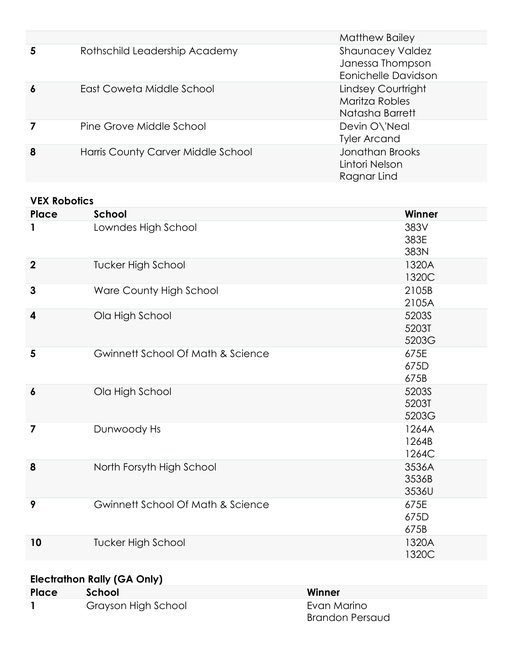|   |                                    | Matthew Bailey                                                     |
|---|------------------------------------|--------------------------------------------------------------------|
| 5 | Rothschild Leadership Academy      | <b>Shaunacey Valdez</b><br>Janessa Thompson<br>Eonichelle Davidson |
| 6 | East Coweta Middle School          | Lindsey Courtright<br>Maritza Robles<br>Natasha Barrett            |
|   | Pine Grove Middle School           | Devin O\'Neal<br><b>Tyler Arcand</b>                               |
| 8 | Harris County Carver Middle School | Jonathan Brooks<br>Lintori Nelson<br>Ragnar Lind                   |

#### **VEX Robotics**

| Place            | <b>School</b>                     | Winner |
|------------------|-----------------------------------|--------|
| 1                | Lowndes High School               | 383V   |
|                  |                                   | 383E   |
|                  |                                   | 383N   |
| $\overline{2}$   | <b>Tucker High School</b>         | 1320A  |
|                  |                                   | 1320C  |
| 3                | Ware County High School           | 2105B  |
|                  |                                   | 2105A  |
| 4                | Ola High School                   | 5203S  |
|                  |                                   | 5203T  |
|                  |                                   | 5203G  |
| 5                | Gwinnett School Of Math & Science | 675E   |
|                  |                                   | 675D   |
|                  |                                   | 675B   |
| $\boldsymbol{6}$ | Ola High School                   | 5203S  |
|                  |                                   | 5203T  |
|                  |                                   | 5203G  |
| 7                | Dunwoody Hs                       | 1264A  |
|                  |                                   | 1264B  |
|                  |                                   | 1264C  |
| 8                | North Forsyth High School         | 3536A  |
|                  |                                   | 3536B  |
|                  |                                   | 3536U  |
| 9                | Gwinnett School Of Math & Science | 675E   |
|                  |                                   | 675D   |
|                  |                                   | 675B   |
|                  |                                   |        |
| 10               | <b>Tucker High School</b>         | 1320A  |
|                  |                                   | 1320C  |

# **Electrathon Rally (GA Only)**

| Place | School              | Winner          |
|-------|---------------------|-----------------|
|       | Grayson High School | Evan Marino     |
|       |                     | Brandon Persaud |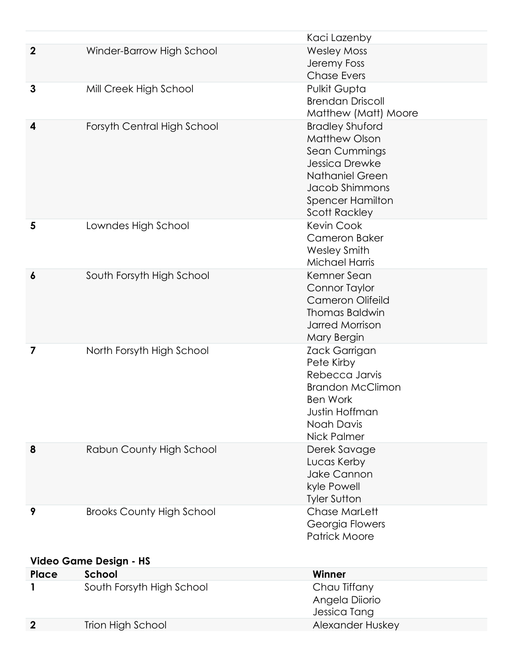|             |                                  | Kaci Lazenby                                                                                                                                                                     |
|-------------|----------------------------------|----------------------------------------------------------------------------------------------------------------------------------------------------------------------------------|
| $\mathbf 2$ | Winder-Barrow High School        | <b>Wesley Moss</b><br>Jeremy Foss<br><b>Chase Evers</b>                                                                                                                          |
| 3           | Mill Creek High School           | Pulkit Gupta<br><b>Brendan Driscoll</b><br>Matthew (Matt) Moore                                                                                                                  |
| 4           | Forsyth Central High School      | <b>Bradley Shuford</b><br><b>Matthew Olson</b><br>Sean Cummings<br>Jessica Drewke<br><b>Nathaniel Green</b><br>Jacob Shimmons<br><b>Spencer Hamilton</b><br><b>Scott Rackley</b> |
| 5           | Lowndes High School              | Kevin Cook<br><b>Cameron Baker</b><br><b>Wesley Smith</b><br><b>Michael Harris</b>                                                                                               |
| 6           | South Forsyth High School        | Kemner Sean<br><b>Connor Taylor</b><br><b>Cameron Olifeild</b><br><b>Thomas Baldwin</b><br><b>Jarred Morrison</b><br>Mary Bergin                                                 |
| 7           | North Forsyth High School        | Zack Garrigan<br>Pete Kirby<br>Rebecca Jarvis<br><b>Brandon McClimon</b><br><b>Ben Work</b><br>Justin Hoffman<br>Noah Davis<br><b>Nick Palmer</b>                                |
| 8           | Rabun County High School         | Derek Savage<br>Lucas Kerby<br><b>Jake Cannon</b><br>kyle Powell<br><b>Tyler Sutton</b>                                                                                          |
| 9           | <b>Brooks County High School</b> | <b>Chase MarLett</b><br>Georgia Flowers<br><b>Patrick Moore</b>                                                                                                                  |
|             | <b>Video Game Design - HS</b>    |                                                                                                                                                                                  |
| Place       | School                           | Winner                                                                                                                                                                           |
|             | South Forsyth High School        | Chau Tiffany<br>Angela Diiorio<br>Jessica Tang                                                                                                                                   |
| $\mathbf 2$ | <b>Trion High School</b>         | Alexander Huskey                                                                                                                                                                 |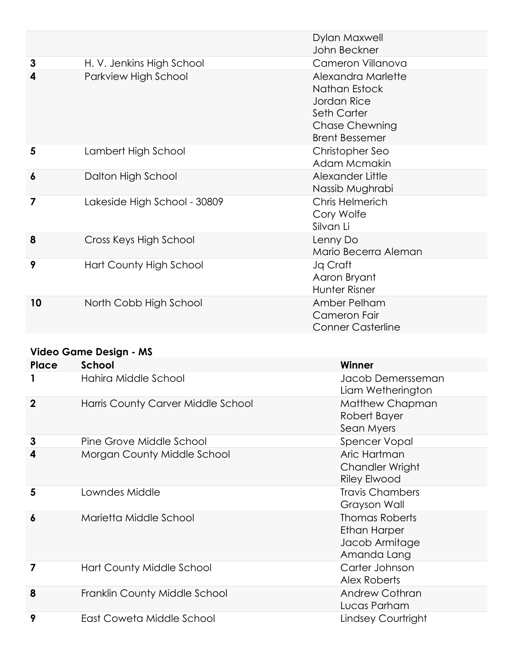|    |                              | Dylan Maxwell<br>John Beckner                                                                                              |
|----|------------------------------|----------------------------------------------------------------------------------------------------------------------------|
| 3  | H. V. Jenkins High School    | Cameron Villanova                                                                                                          |
| 4  | Parkview High School         | Alexandra Marlette<br>Nathan Estock<br>Jordan Rice<br><b>Seth Carter</b><br><b>Chase Chewning</b><br><b>Brent Bessemer</b> |
| 5  | Lambert High School          | Christopher Seo<br>Adam Mcmakin                                                                                            |
| 6  | Dalton High School           | Alexander Little<br>Nassib Mughrabi                                                                                        |
| 7  | Lakeside High School - 30809 | <b>Chris Helmerich</b><br>Cory Wolfe<br>Silvan Li                                                                          |
| 8  | Cross Keys High School       | Lenny Do<br>Mario Becerra Aleman                                                                                           |
| 9  | Hart County High School      | Jq Craft<br>Aaron Bryant<br>Hunter Risner                                                                                  |
| 10 | North Cobb High School       | Amber Pelham<br>Cameron Fair<br><b>Conner Casterline</b>                                                                   |

#### **Video Game Design - MS**

| Place          | School                             | Winner                                                                        |
|----------------|------------------------------------|-------------------------------------------------------------------------------|
|                | Hahira Middle School               | Jacob Demersseman<br>Liam Wetherington                                        |
| $\overline{2}$ | Harris County Carver Middle School | Matthew Chapman<br>Robert Bayer<br>Sean Myers                                 |
| 3              | Pine Grove Middle School           | <b>Spencer Vopal</b>                                                          |
| 4              | Morgan County Middle School        | Aric Hartman<br>Chandler Wright<br><b>Riley Elwood</b>                        |
| 5              | Lowndes Middle                     | <b>Travis Chambers</b><br>Grayson Wall                                        |
| 6              | Marietta Middle School             | <b>Thomas Roberts</b><br><b>Ethan Harper</b><br>Jacob Armitage<br>Amanda Lang |
| 7              | Hart County Middle School          | Carter Johnson<br>Alex Roberts                                                |
| 8              | Franklin County Middle School      | <b>Andrew Cothran</b><br>Lucas Parham                                         |
| 9              | East Coweta Middle School          | Lindsey Courtright                                                            |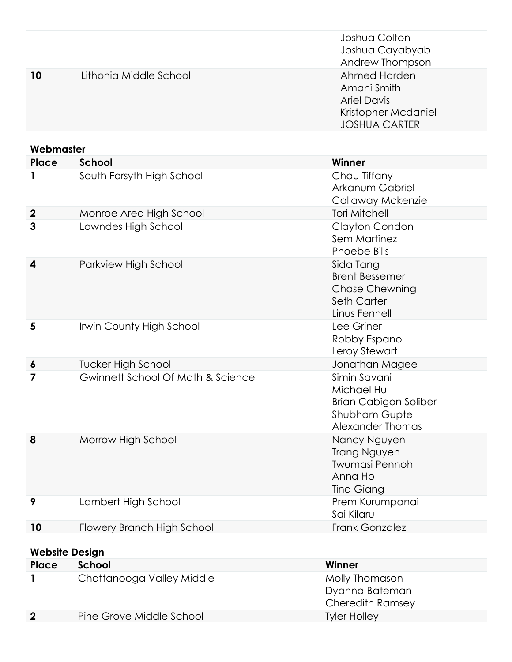|                       |                                              | Joshua Colton<br>Joshua Cayabyab                                                                       |  |
|-----------------------|----------------------------------------------|--------------------------------------------------------------------------------------------------------|--|
|                       |                                              | Andrew Thompson                                                                                        |  |
| 10                    | Lithonia Middle School                       | Ahmed Harden<br>Amani Smith<br><b>Ariel Davis</b><br>Kristopher Mcdaniel<br><b>JOSHUA CARTER</b>       |  |
| Webmaster             |                                              |                                                                                                        |  |
| Place                 | <b>School</b>                                | Winner                                                                                                 |  |
| 1                     | South Forsyth High School                    | Chau Tiffany<br>Arkanum Gabriel<br>Callaway Mckenzie                                                   |  |
| $\boldsymbol{2}$      | Monroe Area High School                      | <b>Tori Mitchell</b>                                                                                   |  |
| 3                     | Lowndes High School                          | Clayton Condon<br>Sem Martinez<br><b>Phoebe Bills</b>                                                  |  |
| 4                     | Parkview High School                         | Sida Tang<br><b>Brent Bessemer</b><br><b>Chase Chewning</b><br>Seth Carter<br>Linus Fennell            |  |
| 5                     | Irwin County High School                     | Lee Griner<br>Robby Espano<br>Leroy Stewart                                                            |  |
| 6                     | <b>Tucker High School</b>                    | Jonathan Magee                                                                                         |  |
| 7                     | <b>Gwinnett School Of Math &amp; Science</b> | Simin Savani<br>Michael Hu<br><b>Brian Cabigon Soliber</b><br><b>Shubham Gupte</b><br>Alexander Thomas |  |
| 8                     | Morrow High School                           | Nancy Nguyen<br><b>Trang Nguyen</b><br><b>Twumasi Pennoh</b><br>Anna Ho<br>Tina Giang                  |  |
| 9                     | Lambert High School                          | Prem Kurumpanai<br>Sai Kilaru                                                                          |  |
| 10                    | Flowery Branch High School                   | Frank Gonzalez                                                                                         |  |
| <b>Website Design</b> |                                              |                                                                                                        |  |
| Place                 | <b>School</b>                                | Winner                                                                                                 |  |
| 1                     | Chattanooga Valley Middle                    | Molly Thomason<br>Dyanna Bateman<br><b>Cheredith Ramsey</b>                                            |  |
| $\mathbf{2}$          | Pine Grove Middle School                     | <b>Tyler Holley</b>                                                                                    |  |
|                       |                                              |                                                                                                        |  |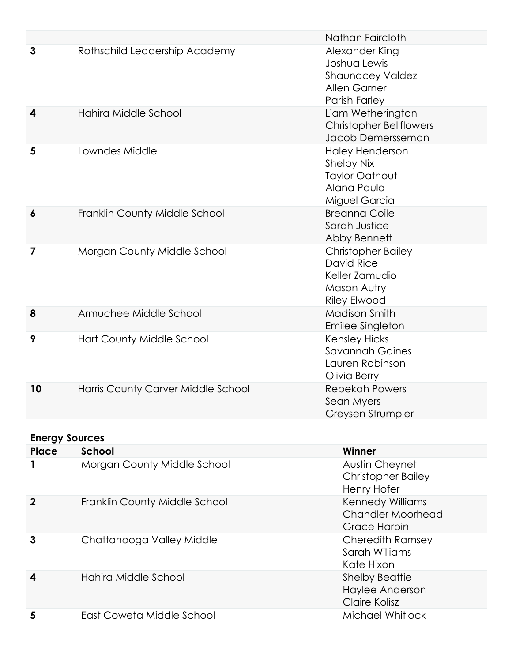|                                       |                                    | Nathan Faircloth                                                                                     |
|---------------------------------------|------------------------------------|------------------------------------------------------------------------------------------------------|
| 3                                     | Rothschild Leadership Academy      | Alexander King<br>Joshua Lewis<br><b>Shaunacey Valdez</b><br>Allen Garner<br>Parish Farley           |
| 4                                     | Hahira Middle School               | Liam Wetherington<br><b>Christopher Bellflowers</b><br>Jacob Demersseman                             |
| 5                                     | Lowndes Middle                     | <b>Haley Henderson</b><br><b>Shelby Nix</b><br><b>Taylor Oathout</b><br>Alana Paulo<br>Miguel Garcia |
| 6                                     | Franklin County Middle School      | <b>Breanna Coile</b><br>Sarah Justice<br>Abby Bennett                                                |
| 7                                     | Morgan County Middle School        | <b>Christopher Bailey</b><br>David Rice<br>Keller Zamudio<br>Mason Autry<br><b>Riley Elwood</b>      |
| 8                                     | Armuchee Middle School             | <b>Madison Smith</b><br>Emilee Singleton                                                             |
| 9                                     | Hart County Middle School          | <b>Kensley Hicks</b><br><b>Savannah Gaines</b><br>Lauren Robinson<br>Olivia Berry                    |
| 10                                    | Harris County Carver Middle School | <b>Rebekah Powers</b><br>Sean Myers<br>Greysen Strumpler                                             |
|                                       |                                    |                                                                                                      |
| <b>Energy Sources</b><br><b>Place</b> | School                             | Winner                                                                                               |
|                                       | Morgan County Middle School        | <b>Austin Cheynet</b><br><b>Christopher Bailey</b><br>Henry Hofer                                    |
| $\boldsymbol{2}$                      | Franklin County Middle School      | Kennedy Williams<br><b>Chandler Moorhead</b><br><b>Grace Harbin</b>                                  |
| 3                                     | Chattanooga Valley Middle          | <b>Cheredith Ramsey</b><br>Sarah Williams<br>Kate Hixon                                              |
| 4                                     | Hahira Middle School               | <b>Shelby Beattie</b><br>Haylee Anderson<br><b>Claire Kolisz</b>                                     |
| 5                                     | East Coweta Middle School          | Michael Whitlock                                                                                     |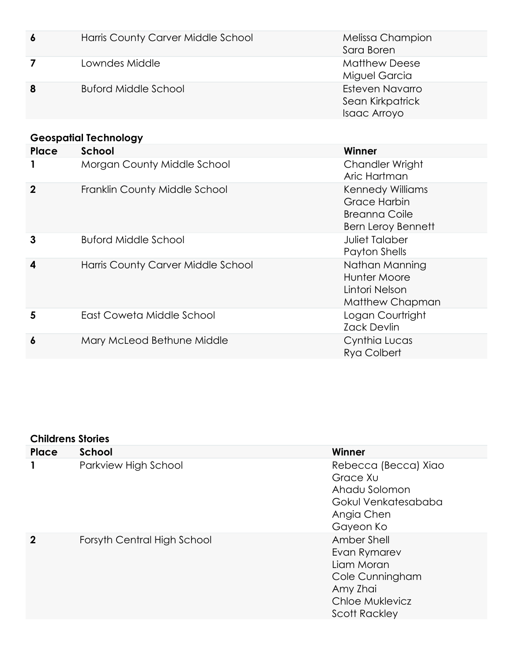| $\boldsymbol{6}$ | Harris County Carver Middle School | Melissa Champion<br>Sara Boren                      |
|------------------|------------------------------------|-----------------------------------------------------|
|                  | Lowndes Middle                     | <b>Matthew Deese</b><br>Miguel Garcia               |
| 8                | <b>Buford Middle School</b>        | Esteven Navarro<br>Sean Kirkpatrick<br>Isaac Arroyo |

# **Geospatial Technology**

| Place       | School                             | Winner                                                                                |
|-------------|------------------------------------|---------------------------------------------------------------------------------------|
|             | Morgan County Middle School        | <b>Chandler Wright</b><br>Aric Hartman                                                |
| $\mathbf 2$ | Franklin County Middle School      | <b>Kennedy Williams</b><br>Grace Harbin<br>Breanna Coile<br><b>Bern Leroy Bennett</b> |
| 3           | <b>Buford Middle School</b>        | <b>Juliet Talaber</b><br>Payton Shells                                                |
| 4           | Harris County Carver Middle School | Nathan Manning<br>Hunter Moore<br>Lintori Nelson<br>Matthew Chapman                   |
| 5           | East Coweta Middle School          | Logan Courtright<br><b>Zack Devlin</b>                                                |
| 6           | Mary McLeod Bethune Middle         | Cynthia Lucas<br>Rya Colbert                                                          |

#### **Childrens Stories**

| Place       | <b>School</b>               | Winner                                                                                                              |
|-------------|-----------------------------|---------------------------------------------------------------------------------------------------------------------|
|             | Parkview High School        | Rebecca (Becca) Xiao<br>Grace Xu<br>Ahadu Solomon<br>Gokul Venkatesababa<br>Angia Chen<br>Gayeon Ko                 |
| $\mathbf 2$ | Forsyth Central High School | Amber Shell<br>Evan Rymarev<br>Liam Moran<br>Cole Cunningham<br>Amy Zhai<br>Chloe Muklevicz<br><b>Scott Rackley</b> |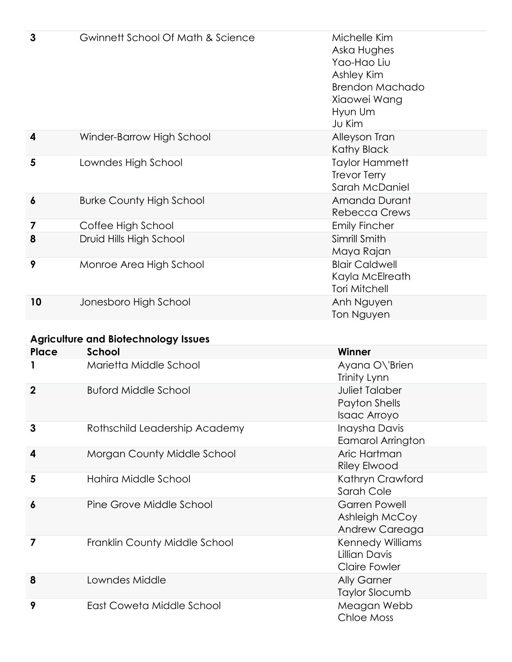| 3            | Gwinnett School Of Math & Science           | Michelle Kim<br>Aska Hughes<br>Yao-Hao Liu<br>Ashley Kim<br><b>Brendon Machado</b><br>Xiaowei Wang<br>Hyun Um<br>Ju Kim |
|--------------|---------------------------------------------|-------------------------------------------------------------------------------------------------------------------------|
| 4            | Winder-Barrow High School                   | Alleyson Tran<br>Kathy Black                                                                                            |
| 5            | Lowndes High School                         | <b>Taylor Hammett</b><br><b>Trevor Terry</b><br>Sarah McDaniel                                                          |
| 6            | <b>Burke County High School</b>             | Amanda Durant<br><b>Rebecca Crews</b>                                                                                   |
| 7            | Coffee High School                          | <b>Emily Fincher</b>                                                                                                    |
| 8            | Druid Hills High School                     | Simrill Smith<br>Maya Rajan                                                                                             |
| 9            | Monroe Area High School                     | <b>Blair Caldwell</b><br>Kayla McElreath<br><b>Tori Mitchell</b>                                                        |
| 10           | Jonesboro High School                       | Anh Nguyen<br>Ton Nguyen                                                                                                |
|              | <b>Agriculture and Biotechnology Issues</b> |                                                                                                                         |
| <b>Place</b> | School                                      | Winner                                                                                                                  |
|              | Marietta Middle School                      | Ayana O\'Brien<br>Trinity Lynn.                                                                                         |

|                  |                               | Trinity Lynn                                                     |
|------------------|-------------------------------|------------------------------------------------------------------|
| $\mathbf{2}$     | <b>Buford Middle School</b>   | <b>Juliet Talaber</b><br>Payton Shells<br>Isaac Arroyo           |
| 3                | Rothschild Leadership Academy | Inaysha Davis<br><b>Eamarol Arrington</b>                        |
| 4                | Morgan County Middle School   | Aric Hartman<br><b>Riley Elwood</b>                              |
| 5                | Hahira Middle School          | Kathryn Crawford<br>Sarah Cole                                   |
| $\boldsymbol{6}$ | Pine Grove Middle School      | <b>Garren Powell</b><br>Ashleigh McCoy<br>Andrew Careaga         |
| 7                | Franklin County Middle School | Kennedy Williams<br><b>Lillian Davis</b><br><b>Claire Fowler</b> |
| 8                | Lowndes Middle                | <b>Ally Garner</b><br>Taylor Slocumb                             |
| 9                | East Coweta Middle School     | Meagan Webb<br>Chloe Moss                                        |